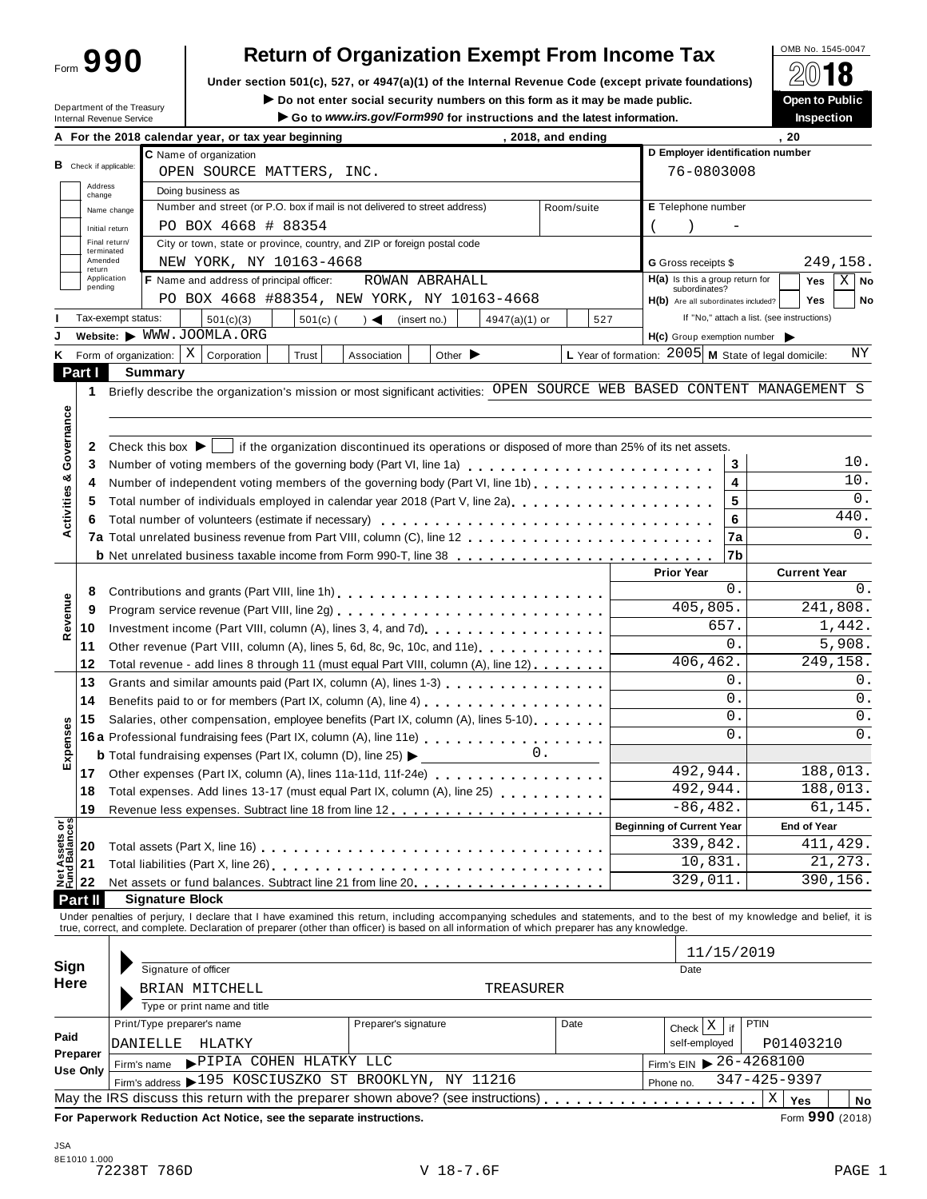Form **990**

## **Return of Organization Exempt From Income Tax**<br>section 501(c), 527, or 4947(a)(1) of the Internal Revenue Code (except private foundations)  $\bigotimes_{\text{2018}} \bigotimes_{\text{2018}}$

Under section 501(c), 527, or 4947(a)(1) of the Internal Revenue Code (except private foundations) **△**Ⅳ ■ ● <br>Do not enter social security numbers on this form as it may be made public. ● ● ● ● ● ● ● ● ● ● ● ● ● ● ● ● ● ●

Department of the Treasury<br>Internal Revenue Senrice

 $\blacktriangleright$  Do not enter social security numbers on this form as it may be made public. Go to www.irs.gov/Form990 for instructions and the latest information

|                                              |                                       |                                      |  | A For the 2018 calendar year, or tax year beginning |            | $\sim$ 00 to <i>www.irs.gov/r</i> ormsso for matructions and the latest imormation                                                                                                                                                              |                             | , 2018, and ending                     |      |            |     |                                                        |                | .20                                        | məpecuon               |             |
|----------------------------------------------|---------------------------------------|--------------------------------------|--|-----------------------------------------------------|------------|-------------------------------------------------------------------------------------------------------------------------------------------------------------------------------------------------------------------------------------------------|-----------------------------|----------------------------------------|------|------------|-----|--------------------------------------------------------|----------------|--------------------------------------------|------------------------|-------------|
|                                              |                                       |                                      |  | C Name of organization                              |            |                                                                                                                                                                                                                                                 |                             |                                        |      |            |     | D Employer identification number                       |                |                                            |                        |             |
|                                              | <b>B</b> Check if applicable:         |                                      |  | OPEN SOURCE MATTERS, INC.                           |            |                                                                                                                                                                                                                                                 |                             |                                        |      |            |     | 76-0803008                                             |                |                                            |                        |             |
|                                              | Address<br>change                     |                                      |  | Doing business as                                   |            |                                                                                                                                                                                                                                                 |                             |                                        |      |            |     |                                                        |                |                                            |                        |             |
|                                              | Name change                           |                                      |  |                                                     |            | Number and street (or P.O. box if mail is not delivered to street address)                                                                                                                                                                      |                             |                                        |      | Room/suite |     | E Telephone number                                     |                |                                            |                        |             |
|                                              | Initial return                        |                                      |  | PO BOX 4668 # 88354                                 |            |                                                                                                                                                                                                                                                 |                             |                                        |      |            |     |                                                        |                |                                            |                        |             |
|                                              | Final return/<br>terminated           |                                      |  |                                                     |            | City or town, state or province, country, and ZIP or foreign postal code                                                                                                                                                                        |                             |                                        |      |            |     |                                                        |                |                                            |                        |             |
|                                              | Amended<br>return                     |                                      |  | NEW YORK, NY 10163-4668                             |            |                                                                                                                                                                                                                                                 |                             |                                        |      |            |     | <b>G</b> Gross receipts \$                             |                |                                            | 249,158.               |             |
|                                              | Application<br>pending                |                                      |  | F Name and address of principal officer:            |            |                                                                                                                                                                                                                                                 | ROWAN ABRAHALL              |                                        |      |            |     | $H(a)$ is this a group return for                      |                |                                            | Yes                    | $X \mid$ No |
|                                              |                                       |                                      |  |                                                     |            | PO BOX 4668 #88354, NEW YORK, NY 10163-4668                                                                                                                                                                                                     |                             |                                        |      |            |     | subordinates?<br>H(b) Are all subordinates included?   |                |                                            | <b>Yes</b>             | No          |
|                                              | Tax-exempt status:                    |                                      |  | 501(c)(3)                                           | $501(c)$ ( | $\rightarrow$                                                                                                                                                                                                                                   | (insert no.)                | 4947(a)(1) or                          |      |            | 527 |                                                        |                | If "No," attach a list. (see instructions) |                        |             |
|                                              |                                       |                                      |  | Website: WWW.JOOMLA.ORG                             |            |                                                                                                                                                                                                                                                 |                             |                                        |      |            |     | H(c) Group exemption number                            |                |                                            |                        |             |
| ĸ                                            |                                       |                                      |  | Form of organization: $\mid X \mid$ Corporation     | Trust      | Association                                                                                                                                                                                                                                     | Other $\blacktriangleright$ |                                        |      |            |     | L Year of formation: $2005$ M State of legal domicile: |                |                                            |                        | ΝY          |
| Part I                                       |                                       | <b>Summary</b>                       |  |                                                     |            |                                                                                                                                                                                                                                                 |                             |                                        |      |            |     |                                                        |                |                                            |                        |             |
| 1                                            |                                       |                                      |  |                                                     |            | Briefly describe the organization's mission or most significant activities: OPEN SOURCE WEB BASED CONTENT MANAGEMENT S                                                                                                                          |                             |                                        |      |            |     |                                                        |                |                                            |                        |             |
|                                              |                                       |                                      |  |                                                     |            |                                                                                                                                                                                                                                                 |                             |                                        |      |            |     |                                                        |                |                                            |                        |             |
| Governance                                   |                                       |                                      |  |                                                     |            |                                                                                                                                                                                                                                                 |                             |                                        |      |            |     |                                                        |                |                                            |                        |             |
| 2                                            |                                       | Check this box $\blacktriangleright$ |  |                                                     |            | if the organization discontinued its operations or disposed of more than 25% of its net assets.                                                                                                                                                 |                             |                                        |      |            |     |                                                        |                |                                            |                        |             |
| 3                                            |                                       |                                      |  |                                                     |            | Number of voting members of the governing body (Part VI, line 1a)                                                                                                                                                                               |                             |                                        |      |            |     |                                                        | 3              |                                            |                        | 10.         |
| 4                                            |                                       |                                      |  |                                                     |            | Number of independent voting members of the governing body (Part VI, line 1b)                                                                                                                                                                   |                             |                                        |      |            |     |                                                        | 4              |                                            |                        | 10.         |
| 5                                            |                                       |                                      |  |                                                     |            | Total number of individuals employed in calendar year 2018 (Part V, line 2a)                                                                                                                                                                    |                             |                                        |      |            |     |                                                        | 5              |                                            |                        | 0.          |
| Activities &<br>6                            |                                       |                                      |  |                                                     |            |                                                                                                                                                                                                                                                 |                             |                                        |      |            |     |                                                        | 6              |                                            |                        | 440.        |
|                                              |                                       |                                      |  |                                                     |            |                                                                                                                                                                                                                                                 |                             |                                        |      |            |     |                                                        | 7a             |                                            |                        | 0.          |
|                                              |                                       |                                      |  |                                                     |            | <b>b</b> Net unrelated business taxable income from Form 990-T, line 38                                                                                                                                                                         |                             |                                        |      |            |     |                                                        | 7b             |                                            |                        |             |
|                                              |                                       |                                      |  |                                                     |            |                                                                                                                                                                                                                                                 |                             |                                        |      |            |     | <b>Prior Year</b>                                      |                |                                            | <b>Current Year</b>    |             |
| 8                                            |                                       |                                      |  |                                                     |            |                                                                                                                                                                                                                                                 |                             |                                        |      |            |     |                                                        | $0$ .          |                                            |                        | 0.          |
| 9                                            |                                       |                                      |  |                                                     |            |                                                                                                                                                                                                                                                 |                             |                                        |      |            |     | 405,805.                                               |                |                                            | 241, 808.              |             |
| Revenue<br>10                                |                                       |                                      |  |                                                     |            |                                                                                                                                                                                                                                                 |                             |                                        | 657. |            |     | 1,442.                                                 |                |                                            |                        |             |
| 11                                           |                                       |                                      |  |                                                     |            | Other revenue (Part VIII, column (A), lines 5, 6d, 8c, 9c, 10c, and 11e)                                                                                                                                                                        |                             |                                        |      |            |     |                                                        | $\mathsf{O}$   |                                            |                        | 5,908.      |
| 12                                           |                                       |                                      |  |                                                     |            | Total revenue - add lines 8 through 11 (must equal Part VIII, column (A), line 12)                                                                                                                                                              |                             |                                        |      |            |     | 406, 462.                                              |                |                                            | 249,158.               |             |
| 13                                           |                                       |                                      |  |                                                     |            | Grants and similar amounts paid (Part IX, column (A), lines 1-3)                                                                                                                                                                                |                             |                                        |      |            |     |                                                        | 0.             |                                            |                        | 0.          |
| 14                                           |                                       |                                      |  |                                                     |            | Benefits paid to or for members (Part IX, column (A), line 4) [10] cases is a contract to or form members (Part IX, column (A), line 4) [10] $\sim$ 10] $\sim$ 100 $\sim$ 100 $\sim$ 100 $\sim$ 100 $\sim$ 100 $\sim$ 100 $\sim$ 100 $\sim$ 100 |                             |                                        |      |            |     |                                                        | 0.             |                                            |                        | 0.          |
| 15                                           |                                       |                                      |  |                                                     |            | Salaries, other compensation, employee benefits (Part IX, column (A), lines 5-10)                                                                                                                                                               |                             |                                        |      |            |     |                                                        | 0.             |                                            |                        | 0.          |
| Expenses                                     |                                       |                                      |  |                                                     |            | 16a Professional fundraising fees (Part IX, column (A), line 11e)                                                                                                                                                                               |                             |                                        |      |            |     |                                                        | $\mathbf{0}$ . |                                            |                        | 0.          |
|                                              |                                       |                                      |  |                                                     |            | <b>b</b> Total fundraising expenses (Part IX, column (D), line 25) $\blacktriangleright$                                                                                                                                                        |                             |                                        | 0.   |            |     |                                                        |                |                                            |                        |             |
| 17                                           |                                       |                                      |  |                                                     |            |                                                                                                                                                                                                                                                 |                             |                                        |      |            |     | 492,944.                                               |                |                                            | 188,013.               |             |
| 18                                           |                                       |                                      |  |                                                     |            | Total expenses. Add lines 13-17 (must equal Part IX, column (A), line 25)                                                                                                                                                                       |                             |                                        |      |            |     | 492,944.                                               |                |                                            | 188,013.               |             |
| 19                                           |                                       |                                      |  |                                                     |            |                                                                                                                                                                                                                                                 |                             |                                        |      |            |     | $-86, 482.$                                            |                |                                            | 61,145.                |             |
|                                              |                                       |                                      |  |                                                     |            |                                                                                                                                                                                                                                                 |                             |                                        |      |            |     | <b>Beginning of Current Year</b>                       |                |                                            | <b>End of Year</b>     |             |
| <b>Net Assets or<br/>Fund Balances</b><br>20 |                                       |                                      |  |                                                     |            |                                                                                                                                                                                                                                                 |                             |                                        |      |            |     | 339,842.                                               |                |                                            | $\overline{41}1, 429.$ |             |
| 21                                           |                                       |                                      |  |                                                     |            |                                                                                                                                                                                                                                                 |                             |                                        |      |            |     | 10,831.                                                |                |                                            |                        | 21, 273.    |
| 22                                           |                                       |                                      |  |                                                     |            | Net assets or fund balances. Subtract line 21 from line 20.                                                                                                                                                                                     |                             |                                        |      |            |     | 329,011                                                |                |                                            | 390,156.               |             |
| Part II                                      |                                       | <b>Signature Block</b>               |  |                                                     |            |                                                                                                                                                                                                                                                 |                             |                                        |      |            |     |                                                        |                |                                            |                        |             |
|                                              |                                       |                                      |  |                                                     |            | Under penalties of perjury, I declare that I have examined this return, including accompanying schedules and statements, and to the best of my knowledge and belief, it is                                                                      |                             |                                        |      |            |     |                                                        |                |                                            |                        |             |
|                                              |                                       |                                      |  |                                                     |            | true, correct, and complete. Declaration of preparer (other than officer) is based on all information of which preparer has any knowledge.                                                                                                      |                             |                                        |      |            |     |                                                        |                |                                            |                        |             |
|                                              |                                       |                                      |  |                                                     |            |                                                                                                                                                                                                                                                 |                             |                                        |      |            |     |                                                        |                | 11/15/2019                                 |                        |             |
| Sign                                         |                                       | Signature of officer                 |  |                                                     |            |                                                                                                                                                                                                                                                 |                             |                                        |      |            |     | Date                                                   |                |                                            |                        |             |
| Here                                         |                                       |                                      |  | BRIAN MITCHELL                                      |            |                                                                                                                                                                                                                                                 |                             | TREASURER                              |      |            |     |                                                        |                |                                            |                        |             |
|                                              |                                       |                                      |  | Type or print name and title                        |            |                                                                                                                                                                                                                                                 |                             |                                        |      |            |     |                                                        |                |                                            |                        |             |
|                                              |                                       | Print/Type preparer's name           |  |                                                     |            | Preparer's signature                                                                                                                                                                                                                            |                             |                                        |      | Date       |     | $Check \mid X$                                         | if             | PTIN                                       |                        |             |
| Paid                                         |                                       | DANIELLE                             |  | HLATKY                                              |            |                                                                                                                                                                                                                                                 |                             |                                        |      |            |     | self-employed                                          |                |                                            | P01403210              |             |
| Preparer                                     | PIPIA COHEN HLATKY LLC<br>Firm's name |                                      |  |                                                     |            |                                                                                                                                                                                                                                                 |                             | Firm's EIN $\triangleright$ 26-4268100 |      |            |     |                                                        |                |                                            |                        |             |
| Use Only                                     |                                       |                                      |  |                                                     |            | Firm's address > 195 KOSCIUSZKO ST BROOKLYN,                                                                                                                                                                                                    |                             | NY 11216                               |      |            |     | Phone no.                                              |                | 347-425-9397                               |                        |             |
|                                              |                                       |                                      |  |                                                     |            | May the IRS discuss this return with the preparer shown above? (see instructions)                                                                                                                                                               |                             |                                        |      |            |     | .                                                      |                | Χ                                          | Yes                    | No          |
|                                              |                                       |                                      |  |                                                     |            | For Paperwork Reduction Act Notice, see the separate instructions.                                                                                                                                                                              |                             |                                        |      |            |     |                                                        |                |                                            | Form 990 (2018)        |             |
|                                              |                                       |                                      |  |                                                     |            |                                                                                                                                                                                                                                                 |                             |                                        |      |            |     |                                                        |                |                                            |                        |             |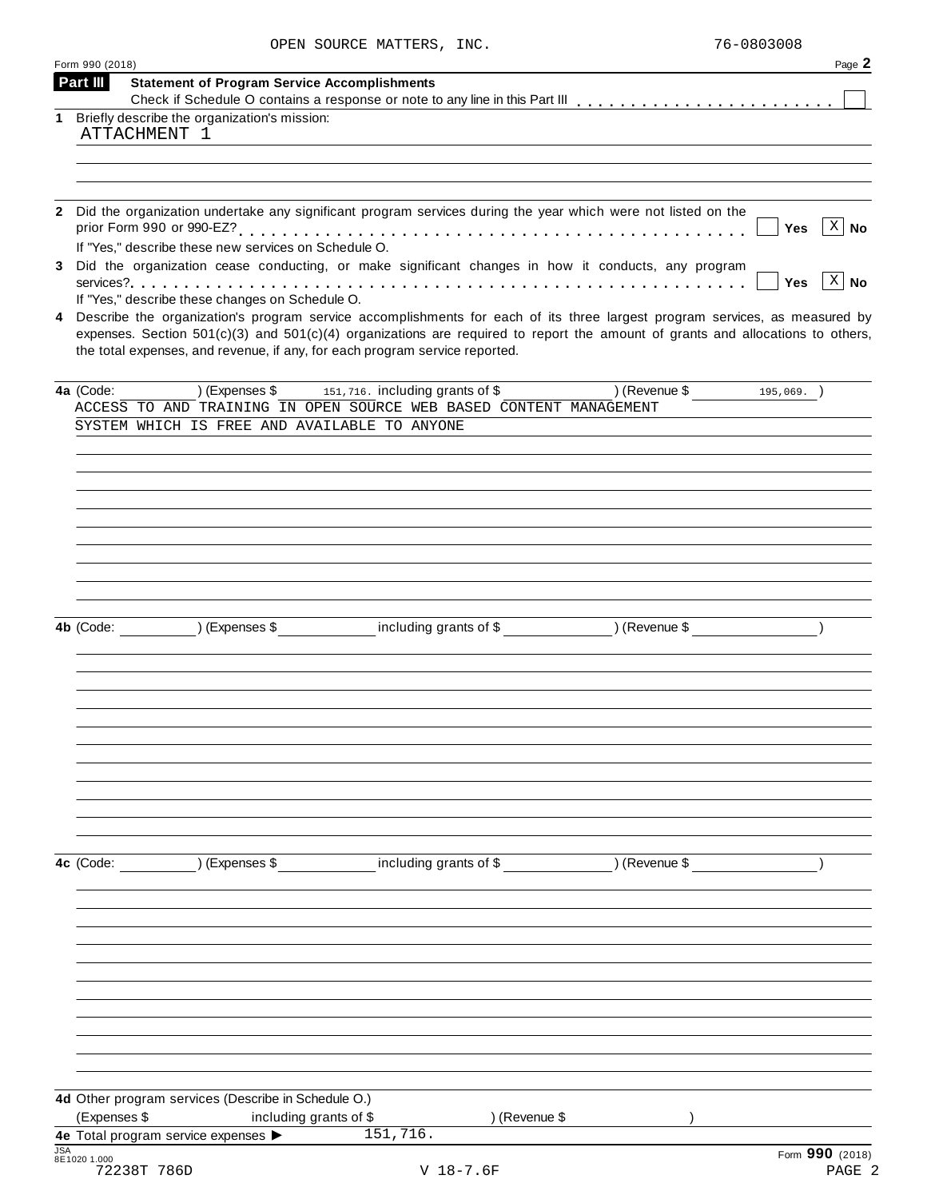|            | Form 990 (2018) |                                                                                                                                                                                                                                                                                                                                                   |                                             |                      | Page 2                             |
|------------|-----------------|---------------------------------------------------------------------------------------------------------------------------------------------------------------------------------------------------------------------------------------------------------------------------------------------------------------------------------------------------|---------------------------------------------|----------------------|------------------------------------|
|            | Part III        | <b>Statement of Program Service Accomplishments</b>                                                                                                                                                                                                                                                                                               |                                             |                      |                                    |
|            |                 | 1 Briefly describe the organization's mission:                                                                                                                                                                                                                                                                                                    |                                             |                      |                                    |
|            |                 | ATTACHMENT 1                                                                                                                                                                                                                                                                                                                                      |                                             |                      |                                    |
|            |                 |                                                                                                                                                                                                                                                                                                                                                   |                                             |                      |                                    |
|            |                 |                                                                                                                                                                                                                                                                                                                                                   |                                             |                      |                                    |
| 2          |                 | Did the organization undertake any significant program services during the year which were not listed on the                                                                                                                                                                                                                                      |                                             |                      |                                    |
|            |                 | If "Yes," describe these new services on Schedule O.                                                                                                                                                                                                                                                                                              |                                             |                      | $ X $ No<br>Yes                    |
| 3          |                 | Did the organization cease conducting, or make significant changes in how it conducts, any program                                                                                                                                                                                                                                                |                                             |                      | $\lceil x \rceil$ No<br><b>Yes</b> |
|            |                 | If "Yes," describe these changes on Schedule O.                                                                                                                                                                                                                                                                                                   |                                             |                      |                                    |
|            |                 | 4 Describe the organization's program service accomplishments for each of its three largest program services, as measured by<br>expenses. Section $501(c)(3)$ and $501(c)(4)$ organizations are required to report the amount of grants and allocations to others,<br>the total expenses, and revenue, if any, for each program service reported. |                                             |                      |                                    |
|            | 4a (Code:       |                                                                                                                                                                                                                                                                                                                                                   | (Expenses \$151,716. including grants of \$ | (Revenue \$195,069.) |                                    |
|            |                 | ACCESS TO AND TRAINING IN OPEN SOURCE WEB BASED CONTENT MANAGEMENT                                                                                                                                                                                                                                                                                |                                             |                      |                                    |
|            |                 | SYSTEM WHICH IS FREE AND AVAILABLE TO ANYONE                                                                                                                                                                                                                                                                                                      |                                             |                      |                                    |
|            |                 |                                                                                                                                                                                                                                                                                                                                                   |                                             |                      |                                    |
|            |                 |                                                                                                                                                                                                                                                                                                                                                   |                                             |                      |                                    |
|            |                 |                                                                                                                                                                                                                                                                                                                                                   |                                             |                      |                                    |
|            |                 |                                                                                                                                                                                                                                                                                                                                                   |                                             |                      |                                    |
|            |                 |                                                                                                                                                                                                                                                                                                                                                   |                                             |                      |                                    |
|            |                 |                                                                                                                                                                                                                                                                                                                                                   |                                             |                      |                                    |
|            |                 |                                                                                                                                                                                                                                                                                                                                                   |                                             |                      |                                    |
|            |                 |                                                                                                                                                                                                                                                                                                                                                   |                                             |                      |                                    |
|            |                 | 4b (Code: ) (Expenses \$                                                                                                                                                                                                                                                                                                                          | including grants of \$ (Revenue \$          |                      |                                    |
|            |                 |                                                                                                                                                                                                                                                                                                                                                   |                                             |                      |                                    |
|            |                 |                                                                                                                                                                                                                                                                                                                                                   |                                             |                      |                                    |
|            |                 |                                                                                                                                                                                                                                                                                                                                                   |                                             |                      |                                    |
|            |                 |                                                                                                                                                                                                                                                                                                                                                   |                                             |                      |                                    |
|            |                 |                                                                                                                                                                                                                                                                                                                                                   |                                             |                      |                                    |
|            |                 |                                                                                                                                                                                                                                                                                                                                                   |                                             |                      |                                    |
|            |                 |                                                                                                                                                                                                                                                                                                                                                   |                                             |                      |                                    |
|            |                 |                                                                                                                                                                                                                                                                                                                                                   |                                             |                      |                                    |
|            |                 |                                                                                                                                                                                                                                                                                                                                                   |                                             |                      |                                    |
|            |                 |                                                                                                                                                                                                                                                                                                                                                   |                                             |                      |                                    |
|            |                 | 4c (Code: ) (Expenses \$ including grants of \$ ) (Revenue \$                                                                                                                                                                                                                                                                                     |                                             |                      |                                    |
|            |                 |                                                                                                                                                                                                                                                                                                                                                   |                                             |                      |                                    |
|            |                 |                                                                                                                                                                                                                                                                                                                                                   |                                             |                      |                                    |
|            |                 |                                                                                                                                                                                                                                                                                                                                                   |                                             |                      |                                    |
|            |                 |                                                                                                                                                                                                                                                                                                                                                   |                                             |                      |                                    |
|            |                 |                                                                                                                                                                                                                                                                                                                                                   |                                             |                      |                                    |
|            |                 |                                                                                                                                                                                                                                                                                                                                                   |                                             |                      |                                    |
|            |                 |                                                                                                                                                                                                                                                                                                                                                   |                                             |                      |                                    |
|            |                 |                                                                                                                                                                                                                                                                                                                                                   |                                             |                      |                                    |
|            |                 |                                                                                                                                                                                                                                                                                                                                                   |                                             |                      |                                    |
|            |                 |                                                                                                                                                                                                                                                                                                                                                   |                                             |                      |                                    |
|            |                 |                                                                                                                                                                                                                                                                                                                                                   |                                             |                      |                                    |
|            |                 | 4d Other program services (Describe in Schedule O.)                                                                                                                                                                                                                                                                                               |                                             |                      |                                    |
|            | (Expenses \$    | including grants of \$                                                                                                                                                                                                                                                                                                                            | ) (Revenue \$<br>151, 716.                  |                      |                                    |
| <b>JSA</b> |                 | 4e Total program service expenses >                                                                                                                                                                                                                                                                                                               |                                             |                      | Form 990 (2018)                    |
|            | 8E1020 1.000    | 72238T 786D                                                                                                                                                                                                                                                                                                                                       | $V$ 18-7.6F                                 |                      | PAGE 2                             |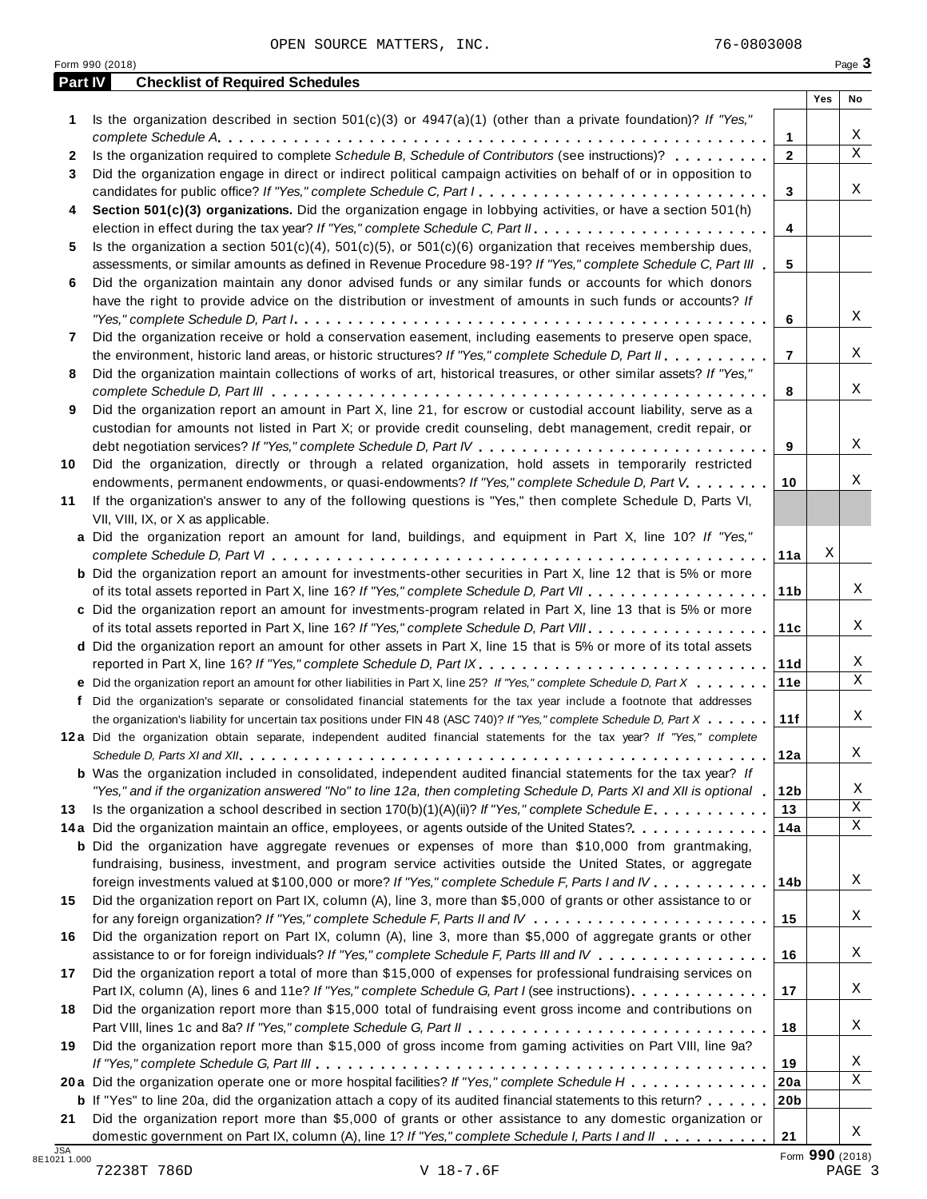OPEN SOURCE MATTERS, INC. 76-0803008

|              | Part IV<br><b>Checklist of Required Schedules</b>                                                                                                                                                                                    |                 |     |        |
|--------------|--------------------------------------------------------------------------------------------------------------------------------------------------------------------------------------------------------------------------------------|-----------------|-----|--------|
|              |                                                                                                                                                                                                                                      |                 | Yes | No     |
| 1            | Is the organization described in section $501(c)(3)$ or $4947(a)(1)$ (other than a private foundation)? If "Yes,"                                                                                                                    |                 |     |        |
|              |                                                                                                                                                                                                                                      | 1               |     | Χ      |
| $\mathbf{2}$ | Is the organization required to complete Schedule B, Schedule of Contributors (see instructions)?                                                                                                                                    | $\mathbf{2}$    |     | X      |
| 3            | Did the organization engage in direct or indirect political campaign activities on behalf of or in opposition to                                                                                                                     |                 |     |        |
|              | candidates for public office? If "Yes," complete Schedule C, Part I.                                                                                                                                                                 | 3               |     | Χ      |
| 4            | Section 501(c)(3) organizations. Did the organization engage in lobbying activities, or have a section 501(h)                                                                                                                        |                 |     |        |
|              |                                                                                                                                                                                                                                      | 4               |     |        |
| 5            | Is the organization a section $501(c)(4)$ , $501(c)(5)$ , or $501(c)(6)$ organization that receives membership dues,                                                                                                                 |                 |     |        |
|              | assessments, or similar amounts as defined in Revenue Procedure 98-19? If "Yes," complete Schedule C, Part III                                                                                                                       | 5               |     |        |
| 6            | Did the organization maintain any donor advised funds or any similar funds or accounts for which donors                                                                                                                              |                 |     |        |
|              | have the right to provide advice on the distribution or investment of amounts in such funds or accounts? If                                                                                                                          |                 |     | X      |
|              |                                                                                                                                                                                                                                      | 6               |     |        |
| 7            | Did the organization receive or hold a conservation easement, including easements to preserve open space,                                                                                                                            |                 |     | Χ      |
|              | the environment, historic land areas, or historic structures? If "Yes," complete Schedule D, Part II.                                                                                                                                | $\overline{7}$  |     |        |
| 8            | Did the organization maintain collections of works of art, historical treasures, or other similar assets? If "Yes,"                                                                                                                  |                 |     | Χ      |
|              |                                                                                                                                                                                                                                      | 8               |     |        |
| 9            | Did the organization report an amount in Part X, line 21, for escrow or custodial account liability, serve as a<br>custodian for amounts not listed in Part X; or provide credit counseling, debt management, credit repair, or      |                 |     |        |
|              |                                                                                                                                                                                                                                      | 9               |     | X      |
| 10           | Did the organization, directly or through a related organization, hold assets in temporarily restricted                                                                                                                              |                 |     |        |
|              | endowments, permanent endowments, or quasi-endowments? If "Yes," complete Schedule D, Part V.                                                                                                                                        | 10              |     | Χ      |
| 11           | If the organization's answer to any of the following questions is "Yes," then complete Schedule D, Parts VI,                                                                                                                         |                 |     |        |
|              | VII, VIII, IX, or X as applicable.                                                                                                                                                                                                   |                 |     |        |
|              | a Did the organization report an amount for land, buildings, and equipment in Part X, line 10? If "Yes,"                                                                                                                             |                 |     |        |
|              |                                                                                                                                                                                                                                      | 11a             | Χ   |        |
|              | <b>b</b> Did the organization report an amount for investments-other securities in Part X, line 12 that is 5% or more                                                                                                                |                 |     |        |
|              |                                                                                                                                                                                                                                      | 11 <sub>b</sub> |     | Χ      |
|              | c Did the organization report an amount for investments-program related in Part X, line 13 that is 5% or more                                                                                                                        |                 |     |        |
|              |                                                                                                                                                                                                                                      | 11c             |     | Χ      |
|              | d Did the organization report an amount for other assets in Part X, line 15 that is 5% or more of its total assets                                                                                                                   |                 |     |        |
|              | reported in Part X, line 16? If "Yes," complete Schedule D, Part IX.                                                                                                                                                                 | 11d             |     | Χ      |
|              | e Did the organization report an amount for other liabilities in Part X, line 25? If "Yes," complete Schedule D, Part X                                                                                                              | 11e             |     | X      |
| f            | Did the organization's separate or consolidated financial statements for the tax year include a footnote that addresses                                                                                                              |                 |     |        |
|              | the organization's liability for uncertain tax positions under FIN 48 (ASC 740)? If "Yes," complete Schedule D, Part X                                                                                                               | 11f             |     | Χ      |
|              | 12a Did the organization obtain separate, independent audited financial statements for the tax year? If "Yes," complete                                                                                                              |                 |     |        |
|              |                                                                                                                                                                                                                                      | 12a             |     | Χ      |
|              | <b>b</b> Was the organization included in consolidated, independent audited financial statements for the tax year? If                                                                                                                |                 |     |        |
|              | "Yes," and if the organization answered "No" to line 12a, then completing Schedule D, Parts XI and XII is optional 1                                                                                                                 | 12 <sub>b</sub> |     | Χ      |
| 13           | Is the organization a school described in section $170(b)(1)(A)(ii)?$ If "Yes," complete Schedule E.                                                                                                                                 | 13              |     | Χ      |
|              | 14a Did the organization maintain an office, employees, or agents outside of the United States?                                                                                                                                      | 14a             |     | Χ      |
|              | <b>b</b> Did the organization have aggregate revenues or expenses of more than \$10,000 from grantmaking,                                                                                                                            |                 |     |        |
|              | fundraising, business, investment, and program service activities outside the United States, or aggregate                                                                                                                            |                 |     |        |
|              | foreign investments valued at \$100,000 or more? If "Yes," complete Schedule F, Parts I and IV                                                                                                                                       | 14b             |     | Χ      |
| 15           | Did the organization report on Part IX, column (A), line 3, more than \$5,000 of grants or other assistance to or                                                                                                                    |                 |     |        |
|              |                                                                                                                                                                                                                                      | 15              |     | Χ      |
| 16           | Did the organization report on Part IX, column (A), line 3, more than \$5,000 of aggregate grants or other                                                                                                                           |                 |     |        |
|              | assistance to or for foreign individuals? If "Yes," complete Schedule F, Parts III and IV                                                                                                                                            | 16              |     | Χ      |
| 17           | Did the organization report a total of more than \$15,000 of expenses for professional fundraising services on                                                                                                                       |                 |     |        |
|              | Part IX, column (A), lines 6 and 11e? If "Yes," complete Schedule G, Part I (see instructions)                                                                                                                                       | 17              |     | Χ      |
| 18           | Did the organization report more than \$15,000 total of fundraising event gross income and contributions on                                                                                                                          |                 |     |        |
|              |                                                                                                                                                                                                                                      | 18              |     | Χ      |
|              |                                                                                                                                                                                                                                      |                 |     |        |
|              |                                                                                                                                                                                                                                      |                 |     |        |
|              | Did the organization report more than \$15,000 of gross income from gaming activities on Part VIII, line 9a?                                                                                                                         |                 |     |        |
|              |                                                                                                                                                                                                                                      | 19              |     |        |
| 19           | 20a Did the organization operate one or more hospital facilities? If "Yes," complete Schedule H                                                                                                                                      | 20a             |     | Χ<br>X |
| 21           | <b>b</b> If "Yes" to line 20a, did the organization attach a copy of its audited financial statements to this return?<br>Did the organization report more than \$5,000 of grants or other assistance to any domestic organization or | 20 <sub>b</sub> |     |        |

 $V$  18-7.6F PAGE 3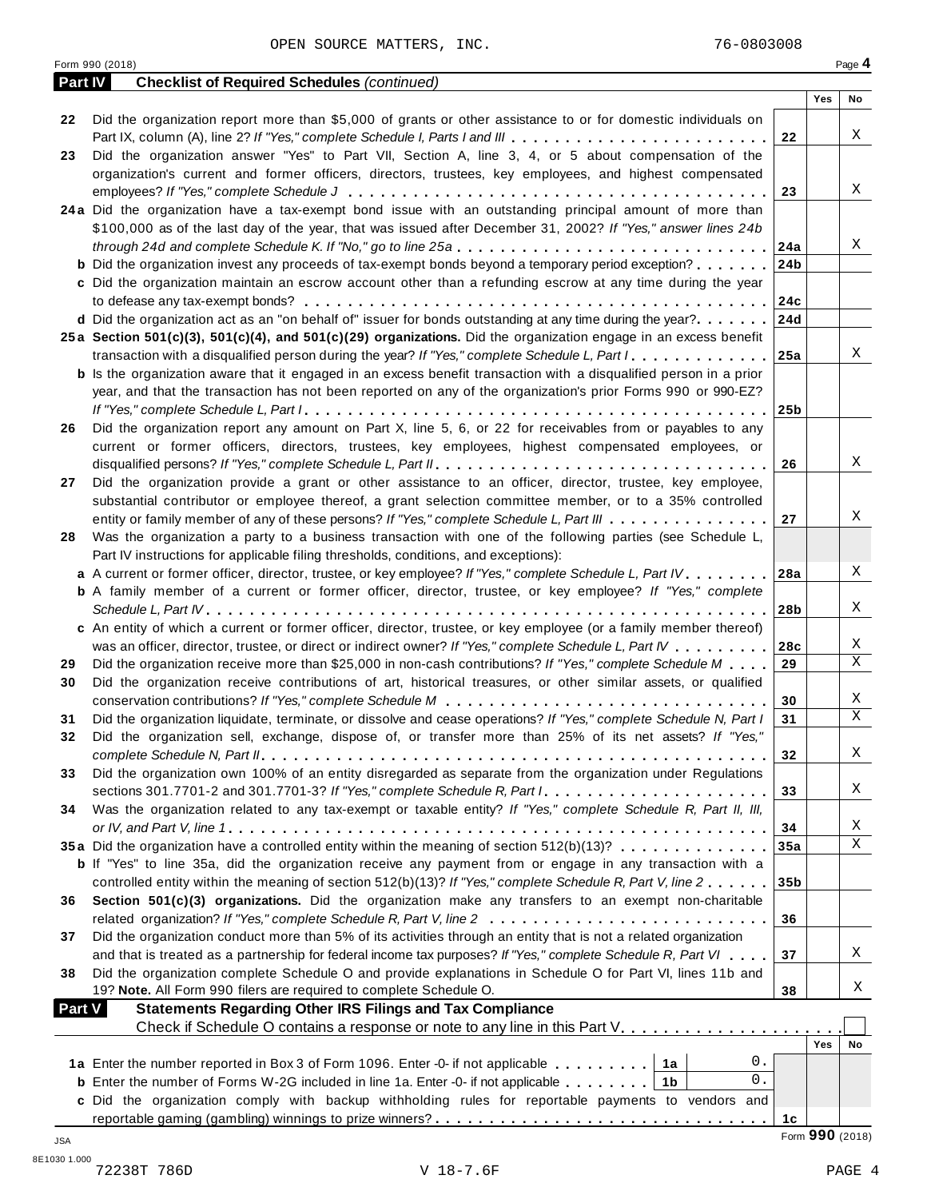**Part IV Checklist of Required Schedules** *(continued)*

| 22            | Did the organization report more than \$5,000 of grants or other assistance to or for domestic individuals on                                                                                         |                 |                 |             |
|---------------|-------------------------------------------------------------------------------------------------------------------------------------------------------------------------------------------------------|-----------------|-----------------|-------------|
|               |                                                                                                                                                                                                       | 22              |                 | X           |
| 23            | Did the organization answer "Yes" to Part VII, Section A, line 3, 4, or 5 about compensation of the                                                                                                   |                 |                 |             |
|               | organization's current and former officers, directors, trustees, key employees, and highest compensated                                                                                               |                 |                 |             |
|               |                                                                                                                                                                                                       | 23              |                 | X           |
|               | 24a Did the organization have a tax-exempt bond issue with an outstanding principal amount of more than                                                                                               |                 |                 |             |
|               | \$100,000 as of the last day of the year, that was issued after December 31, 2002? If "Yes," answer lines 24b                                                                                         |                 |                 |             |
|               | through 24d and complete Schedule K. If "No," go to line 25a                                                                                                                                          | 24a             |                 | Χ           |
|               | <b>b</b> Did the organization invest any proceeds of tax-exempt bonds beyond a temporary period exception?                                                                                            | 24b             |                 |             |
|               | c Did the organization maintain an escrow account other than a refunding escrow at any time during the year                                                                                           |                 |                 |             |
|               |                                                                                                                                                                                                       | 24c             |                 |             |
|               | d Did the organization act as an "on behalf of" issuer for bonds outstanding at any time during the year?                                                                                             | 24d             |                 |             |
|               | 25a Section 501(c)(3), 501(c)(4), and 501(c)(29) organizations. Did the organization engage in an excess benefit                                                                                      |                 |                 | X           |
|               | transaction with a disqualified person during the year? If "Yes," complete Schedule L, Part I                                                                                                         | 25a             |                 |             |
|               | <b>b</b> Is the organization aware that it engaged in an excess benefit transaction with a disqualified person in a prior                                                                             |                 |                 |             |
|               | year, and that the transaction has not been reported on any of the organization's prior Forms 990 or 990-EZ?                                                                                          |                 |                 |             |
|               |                                                                                                                                                                                                       | 25 <sub>b</sub> |                 |             |
| 26            | Did the organization report any amount on Part X, line 5, 6, or 22 for receivables from or payables to any                                                                                            |                 |                 |             |
|               | current or former officers, directors, trustees, key employees, highest compensated employees, or                                                                                                     |                 |                 | X           |
|               |                                                                                                                                                                                                       | 26              |                 |             |
| 27            | Did the organization provide a grant or other assistance to an officer, director, trustee, key employee,                                                                                              |                 |                 |             |
|               | substantial contributor or employee thereof, a grant selection committee member, or to a 35% controlled                                                                                               | 27              |                 | Χ           |
|               | entity or family member of any of these persons? If "Yes," complete Schedule L, Part III<br>Was the organization a party to a business transaction with one of the following parties (see Schedule L, |                 |                 |             |
| 28            | Part IV instructions for applicable filing thresholds, conditions, and exceptions):                                                                                                                   |                 |                 |             |
|               | a A current or former officer, director, trustee, or key employee? If "Yes," complete Schedule L, Part IV.                                                                                            | 28a             |                 | X           |
|               | <b>b</b> A family member of a current or former officer, director, trustee, or key employee? If "Yes," complete                                                                                       |                 |                 |             |
|               |                                                                                                                                                                                                       | 28b             |                 | Χ           |
|               | c An entity of which a current or former officer, director, trustee, or key employee (or a family member thereof)                                                                                     |                 |                 |             |
|               | was an officer, director, trustee, or direct or indirect owner? If "Yes," complete Schedule L, Part IV                                                                                                | 28c             |                 | X           |
| 29            | Did the organization receive more than \$25,000 in non-cash contributions? If "Yes," complete Schedule M                                                                                              | 29              |                 | $\mathbf X$ |
| 30            | Did the organization receive contributions of art, historical treasures, or other similar assets, or qualified                                                                                        |                 |                 |             |
|               |                                                                                                                                                                                                       | 30              |                 | X           |
| 31            | Did the organization liquidate, terminate, or dissolve and cease operations? If "Yes," complete Schedule N, Part I                                                                                    | 31              |                 | $\mathbf X$ |
| 32            | Did the organization sell, exchange, dispose of, or transfer more than 25% of its net assets? If "Yes,"                                                                                               |                 |                 |             |
|               |                                                                                                                                                                                                       | 32              |                 | X           |
| 33            | Did the organization own 100% of an entity disregarded as separate from the organization under Regulations                                                                                            |                 |                 |             |
|               | sections 301.7701-2 and 301.7701-3? If "Yes," complete Schedule R, Part I.                                                                                                                            | 33              |                 | Χ           |
| 34            | Was the organization related to any tax-exempt or taxable entity? If "Yes," complete Schedule R, Part II, III,                                                                                        |                 |                 |             |
|               |                                                                                                                                                                                                       | 34              |                 | Χ           |
|               | 35a Did the organization have a controlled entity within the meaning of section 512(b)(13)?                                                                                                           | 35a             |                 | $\mathbf X$ |
|               | <b>b</b> If "Yes" to line 35a, did the organization receive any payment from or engage in any transaction with a                                                                                      |                 |                 |             |
|               | controlled entity within the meaning of section 512(b)(13)? If "Yes," complete Schedule R, Part V, line 2                                                                                             | 35 <sub>b</sub> |                 |             |
| 36            | Section 501(c)(3) organizations. Did the organization make any transfers to an exempt non-charitable                                                                                                  |                 |                 |             |
|               | related organization? If "Yes," complete Schedule R, Part V, line 2                                                                                                                                   | 36              |                 |             |
| 37            | Did the organization conduct more than 5% of its activities through an entity that is not a related organization                                                                                      |                 |                 |             |
|               | and that is treated as a partnership for federal income tax purposes? If "Yes," complete Schedule R, Part VI                                                                                          | 37              |                 | Χ           |
| 38            | Did the organization complete Schedule O and provide explanations in Schedule O for Part VI, lines 11b and                                                                                            |                 |                 |             |
|               | 19? Note. All Form 990 filers are required to complete Schedule O.                                                                                                                                    | 38              |                 | Χ           |
| <b>Part V</b> | <b>Statements Regarding Other IRS Filings and Tax Compliance</b>                                                                                                                                      |                 |                 |             |
|               | Check if Schedule O contains a response or note to any line in this Part V.                                                                                                                           |                 |                 |             |
|               |                                                                                                                                                                                                       |                 | Yes             | No          |
|               | 0.<br>1a Enter the number reported in Box 3 of Form 1096. Enter -0- if not applicable<br>1a                                                                                                           |                 |                 |             |
|               | 0.<br><b>b</b> Enter the number of Forms W-2G included in line 1a. Enter -0- if not applicable<br>1b                                                                                                  |                 |                 |             |
|               | c Did the organization comply with backup withholding rules for reportable payments to vendors and                                                                                                    |                 |                 |             |
|               |                                                                                                                                                                                                       | 1с              |                 |             |
| JSA           |                                                                                                                                                                                                       |                 | Form 990 (2018) |             |

**Yes No**

т

Τ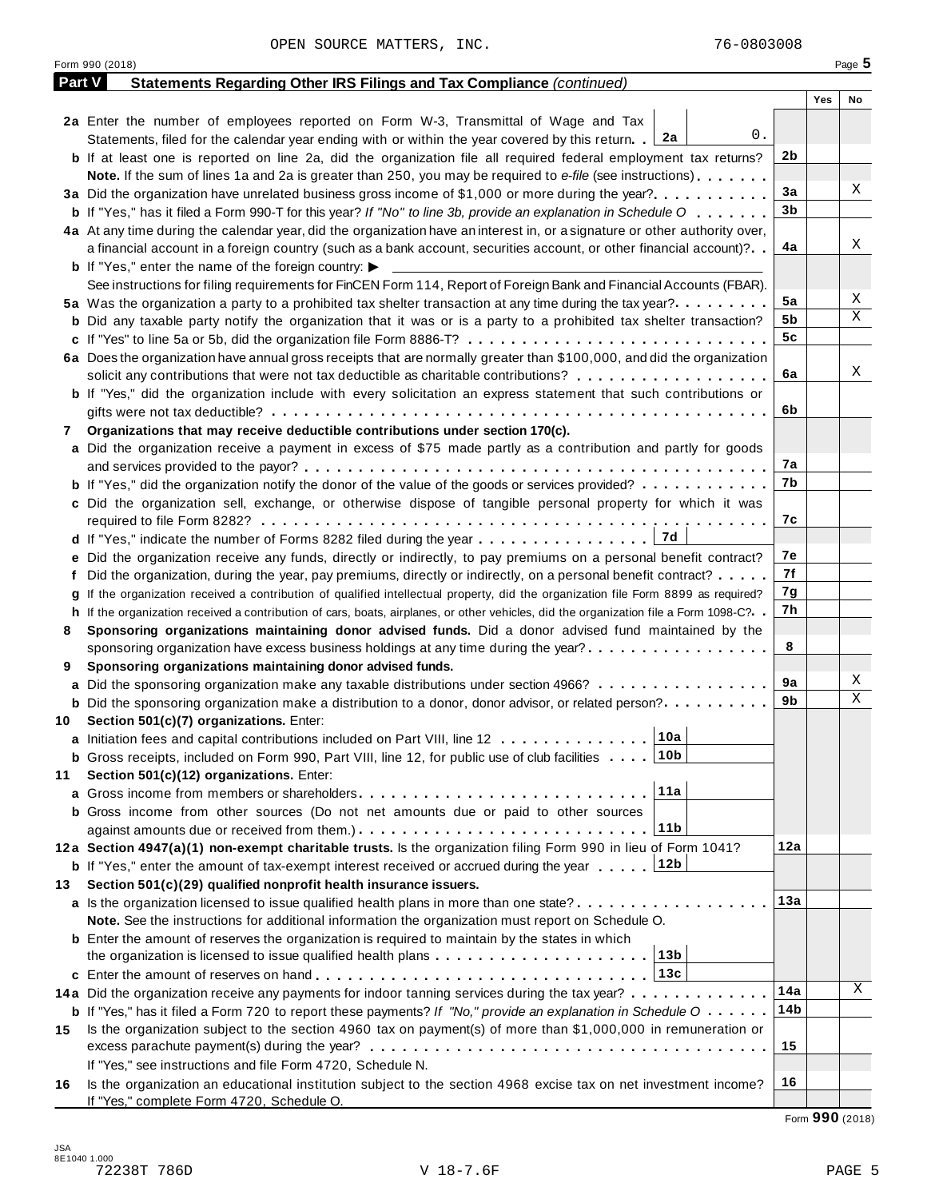|        | Form 990 (2018)                                                                                                                                                                             |     | Page 5    |
|--------|---------------------------------------------------------------------------------------------------------------------------------------------------------------------------------------------|-----|-----------|
| Part V | <b>Statements Regarding Other IRS Filings and Tax Compliance (continued)</b>                                                                                                                |     |           |
|        |                                                                                                                                                                                             |     | Yes<br>No |
|        | 2a Enter the number of employees reported on Form W-3, Transmittal of Wage and Tax                                                                                                          |     |           |
|        | 0.<br>Statements, filed for the calendar year ending with or within the year covered by this return. [2a]                                                                                   |     |           |
|        | <b>b</b> If at least one is reported on line 2a, did the organization file all required federal employment tax returns?                                                                     | 2b  |           |
|        | <b>Note.</b> If the sum of lines 1a and 2a is greater than 250, you may be required to e-file (see instructions).                                                                           |     |           |
|        | 3a Did the organization have unrelated business gross income of \$1,000 or more during the year?                                                                                            | 3a  | Χ         |
|        | <b>b</b> If "Yes," has it filed a Form 990-T for this year? If "No" to line 3b, provide an explanation in Schedule O                                                                        | 3b  |           |
|        | 4a At any time during the calendar year, did the organization have an interest in, or a signature or other authority over,                                                                  |     |           |
|        | a financial account in a foreign country (such as a bank account, securities account, or other financial account)?                                                                          | 4a  | Χ         |
|        | <b>b</b> If "Yes," enter the name of the foreign country: $\blacktriangleright$                                                                                                             |     |           |
|        | See instructions for filing requirements for FinCEN Form 114, Report of Foreign Bank and Financial Accounts (FBAR).                                                                         |     |           |
|        | 5a Was the organization a party to a prohibited tax shelter transaction at any time during the tax year?.                                                                                   | 5a  | Χ         |
|        | <b>b</b> Did any taxable party notify the organization that it was or is a party to a prohibited tax shelter transaction?                                                                   | 5b  | Χ         |
|        |                                                                                                                                                                                             | 5c  |           |
|        | 6a Does the organization have annual gross receipts that are normally greater than \$100,000, and did the organization                                                                      |     |           |
|        | solicit any contributions that were not tax deductible as charitable contributions?                                                                                                         | 6a  | Χ         |
|        |                                                                                                                                                                                             |     |           |
|        | <b>b</b> If "Yes," did the organization include with every solicitation an express statement that such contributions or                                                                     | 6b  |           |
|        |                                                                                                                                                                                             |     |           |
| 7      | Organizations that may receive deductible contributions under section 170(c).                                                                                                               |     |           |
|        | a Did the organization receive a payment in excess of \$75 made partly as a contribution and partly for goods                                                                               |     |           |
|        |                                                                                                                                                                                             | 7а  |           |
|        | <b>b</b> If "Yes," did the organization notify the donor of the value of the goods or services provided?                                                                                    | 7b  |           |
|        | c Did the organization sell, exchange, or otherwise dispose of tangible personal property for which it was                                                                                  |     |           |
|        |                                                                                                                                                                                             | 7с  |           |
|        |                                                                                                                                                                                             |     |           |
|        | e Did the organization receive any funds, directly or indirectly, to pay premiums on a personal benefit contract?                                                                           | 7е  |           |
|        | f Did the organization, during the year, pay premiums, directly or indirectly, on a personal benefit contract?                                                                              | 7f  |           |
|        | If the organization received a contribution of qualified intellectual property, did the organization file Form 8899 as required?                                                            | 7g  |           |
|        | h If the organization received a contribution of cars, boats, airplanes, or other vehicles, did the organization file a Form 1098-C?                                                        | 7h  |           |
| 8      | Sponsoring organizations maintaining donor advised funds. Did a donor advised fund maintained by the                                                                                        |     |           |
|        | sponsoring organization have excess business holdings at any time during the year?                                                                                                          | 8   |           |
| 9      | Sponsoring organizations maintaining donor advised funds.                                                                                                                                   |     |           |
|        | <b>a</b> Did the sponsoring organization make any taxable distributions under section 4966?                                                                                                 | 9а  | Χ         |
|        | <b>b</b> Did the sponsoring organization make a distribution to a donor, donor advisor, or related person?                                                                                  | 9b  | Χ         |
| 10     | Section 501(c)(7) organizations. Enter:                                                                                                                                                     |     |           |
|        | 10a <br>a Initiation fees and capital contributions included on Part VIII, line 12                                                                                                          |     |           |
|        | <b>b</b> Gross receipts, included on Form 990, Part VIII, line 12, for public use of club facilities 10b                                                                                    |     |           |
| 11     | Section 501(c)(12) organizations. Enter:                                                                                                                                                    |     |           |
|        | 11a<br>a Gross income from members or shareholders                                                                                                                                          |     |           |
|        | b Gross income from other sources (Do not net amounts due or paid to other sources                                                                                                          |     |           |
|        | 11b                                                                                                                                                                                         |     |           |
|        | 12a Section 4947(a)(1) non-exempt charitable trusts. Is the organization filing Form 990 in lieu of Form 1041?                                                                              | 12a |           |
|        | 12b<br><b>b</b> If "Yes," enter the amount of tax-exempt interest received or accrued during the year                                                                                       |     |           |
| 13.    | Section 501(c)(29) qualified nonprofit health insurance issuers.                                                                                                                            |     |           |
|        |                                                                                                                                                                                             | 13а |           |
|        | a Is the organization licensed to issue qualified health plans in more than one state?<br>Note. See the instructions for additional information the organization must report on Schedule O. |     |           |
|        |                                                                                                                                                                                             |     |           |
|        | <b>b</b> Enter the amount of reserves the organization is required to maintain by the states in which                                                                                       |     |           |
|        | the organization is licensed to issue qualified health plans $\ldots \ldots \ldots \ldots \ldots \ldots \ldots$                                                                             |     |           |
|        |                                                                                                                                                                                             |     | Χ         |
|        | 14a Did the organization receive any payments for indoor tanning services during the tax year?                                                                                              | 14a |           |
|        | <b>b</b> If "Yes," has it filed a Form 720 to report these payments? If "No," provide an explanation in Schedule $0 \cdot \cdot \cdot \cdot$                                                | 14b |           |
| 15     | Is the organization subject to the section 4960 tax on payment(s) of more than \$1,000,000 in remuneration or                                                                               |     |           |
|        |                                                                                                                                                                                             | 15  |           |
|        | If "Yes," see instructions and file Form 4720, Schedule N.                                                                                                                                  |     |           |
| 16     | Is the organization an educational institution subject to the section 4968 excise tax on net investment income?                                                                             | 16  |           |
|        | If "Yes," complete Form 4720, Schedule O.                                                                                                                                                   |     |           |

Form **990** (2018)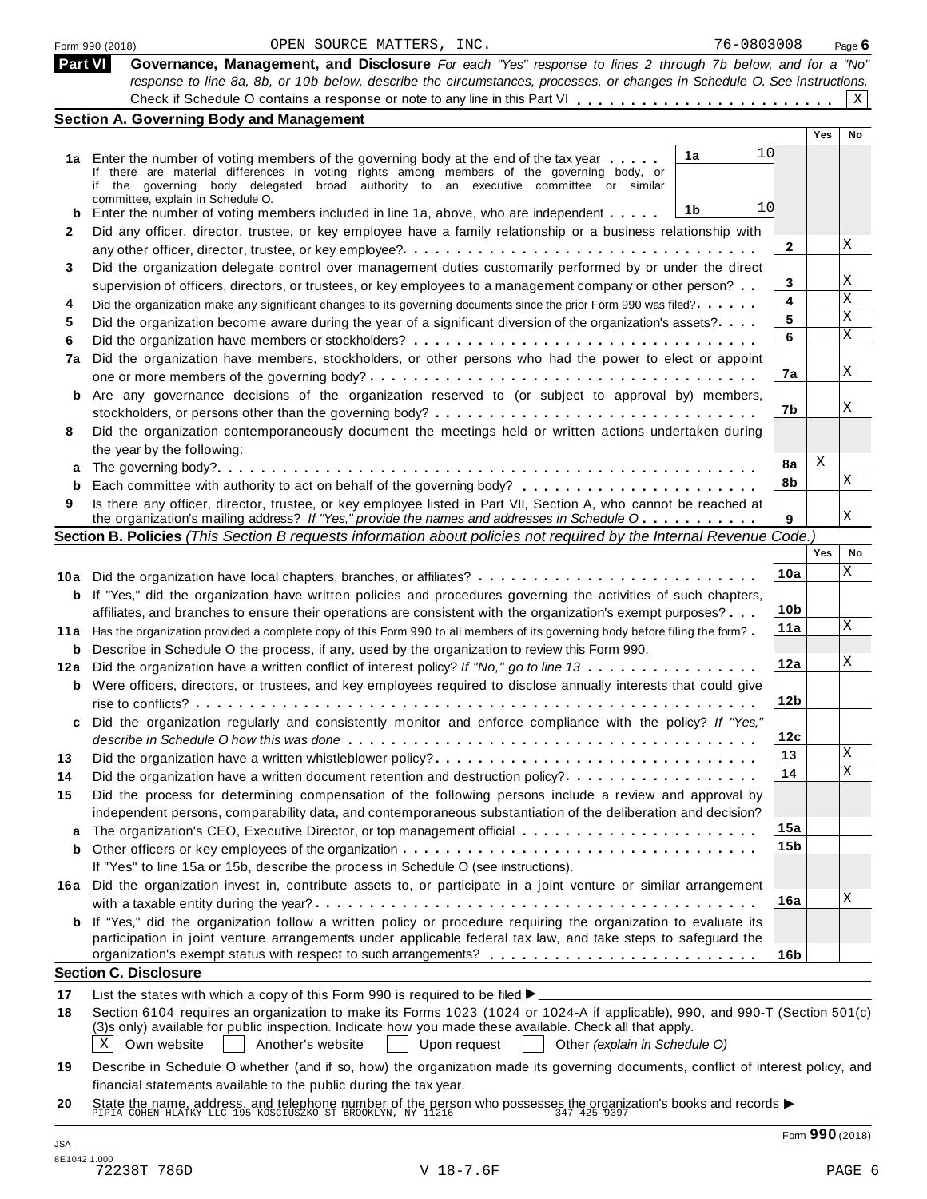|     | 76-0803008<br>OPEN SOURCE MATTERS, INC.<br>Form 990 (2018)                                                                                                                                                                                                                                                                        |                 |     | Page $6$ |
|-----|-----------------------------------------------------------------------------------------------------------------------------------------------------------------------------------------------------------------------------------------------------------------------------------------------------------------------------------|-----------------|-----|----------|
|     | <b>Part VI</b><br>Governance, Management, and Disclosure For each "Yes" response to lines 2 through 7b below, and for a "No"                                                                                                                                                                                                      |                 |     |          |
|     | response to line 8a, 8b, or 10b below, describe the circumstances, processes, or changes in Schedule O. See instructions.                                                                                                                                                                                                         |                 |     |          |
|     |                                                                                                                                                                                                                                                                                                                                   |                 |     | X        |
|     | <b>Section A. Governing Body and Management</b>                                                                                                                                                                                                                                                                                   |                 | Yes | No       |
|     | 10<br>1a                                                                                                                                                                                                                                                                                                                          |                 |     |          |
|     | 1a Enter the number of voting members of the governing body at the end of the tax year<br>If there are material differences in voting rights among members of the governing body, or                                                                                                                                              |                 |     |          |
|     | if the governing body delegated broad authority to an executive committee or similar                                                                                                                                                                                                                                              |                 |     |          |
|     | committee, explain in Schedule O.<br>10<br>1b<br>Enter the number of voting members included in line 1a, above, who are independent                                                                                                                                                                                               |                 |     |          |
| 2   | Did any officer, director, trustee, or key employee have a family relationship or a business relationship with                                                                                                                                                                                                                    |                 |     |          |
|     |                                                                                                                                                                                                                                                                                                                                   | $\mathbf{2}$    |     | Χ        |
| 3   | Did the organization delegate control over management duties customarily performed by or under the direct                                                                                                                                                                                                                         |                 |     |          |
|     | supervision of officers, directors, or trustees, or key employees to a management company or other person?                                                                                                                                                                                                                        | 3               |     | Χ        |
| 4   | Did the organization make any significant changes to its governing documents since the prior Form 990 was filed?                                                                                                                                                                                                                  | 4               |     | Χ        |
| 5   | Did the organization become aware during the year of a significant diversion of the organization's assets?                                                                                                                                                                                                                        | 5               |     | Χ        |
| 6   |                                                                                                                                                                                                                                                                                                                                   | 6               |     | X        |
| 7a  | Did the organization have members, stockholders, or other persons who had the power to elect or appoint                                                                                                                                                                                                                           |                 |     |          |
|     |                                                                                                                                                                                                                                                                                                                                   | 7а              |     | Χ        |
| b   | Are any governance decisions of the organization reserved to (or subject to approval by) members,                                                                                                                                                                                                                                 |                 |     |          |
|     |                                                                                                                                                                                                                                                                                                                                   | 7b              |     | Χ        |
| 8   | Did the organization contemporaneously document the meetings held or written actions undertaken during                                                                                                                                                                                                                            |                 |     |          |
|     | the year by the following:                                                                                                                                                                                                                                                                                                        |                 | Χ   |          |
|     |                                                                                                                                                                                                                                                                                                                                   | 8a<br>8b        |     | Χ        |
| b   |                                                                                                                                                                                                                                                                                                                                   |                 |     |          |
| 9   | Is there any officer, director, trustee, or key employee listed in Part VII, Section A, who cannot be reached at<br>the organization's mailing address? If "Yes," provide the names and addresses in Schedule O                                                                                                                   | 9               |     | Χ        |
|     | Section B. Policies (This Section B requests information about policies not required by the Internal Revenue Code.)                                                                                                                                                                                                               |                 |     |          |
|     |                                                                                                                                                                                                                                                                                                                                   |                 | Yes | No       |
|     | 10a Did the organization have local chapters, branches, or affiliates?                                                                                                                                                                                                                                                            | 10a             |     | Χ        |
| b   | If "Yes," did the organization have written policies and procedures governing the activities of such chapters,                                                                                                                                                                                                                    |                 |     |          |
|     | affiliates, and branches to ensure their operations are consistent with the organization's exempt purposes?                                                                                                                                                                                                                       | 10 <sub>b</sub> |     |          |
| 11a | Has the organization provided a complete copy of this Form 990 to all members of its governing body before filing the form?                                                                                                                                                                                                       | 11a             |     | Χ        |
| b   | Describe in Schedule O the process, if any, used by the organization to review this Form 990.                                                                                                                                                                                                                                     |                 |     |          |
| 12a | Did the organization have a written conflict of interest policy? If "No," go to line 13                                                                                                                                                                                                                                           | 12a             |     | Χ        |
|     | <b>b</b> Were officers, directors, or trustees, and key employees required to disclose annually interests that could give                                                                                                                                                                                                         |                 |     |          |
|     |                                                                                                                                                                                                                                                                                                                                   | 12b             |     |          |
|     | Did the organization regularly and consistently monitor and enforce compliance with the policy? If "Yes,"                                                                                                                                                                                                                         |                 |     |          |
|     |                                                                                                                                                                                                                                                                                                                                   | 12c             |     |          |
| 13  | Did the organization have a written whistleblower policy?                                                                                                                                                                                                                                                                         | 13              |     | Χ<br>X   |
| 14  | Did the organization have a written document retention and destruction policy?                                                                                                                                                                                                                                                    | 14              |     |          |
| 15  | Did the process for determining compensation of the following persons include a review and approval by                                                                                                                                                                                                                            |                 |     |          |
|     | independent persons, comparability data, and contemporaneous substantiation of the deliberation and decision?                                                                                                                                                                                                                     | 15a             |     |          |
|     |                                                                                                                                                                                                                                                                                                                                   | 15 <sub>b</sub> |     |          |
| b   | If "Yes" to line 15a or 15b, describe the process in Schedule O (see instructions).                                                                                                                                                                                                                                               |                 |     |          |
|     | Did the organization invest in, contribute assets to, or participate in a joint venture or similar arrangement                                                                                                                                                                                                                    |                 |     |          |
| 16а |                                                                                                                                                                                                                                                                                                                                   | 16a             |     | Χ        |
|     | <b>b</b> If "Yes," did the organization follow a written policy or procedure requiring the organization to evaluate its                                                                                                                                                                                                           |                 |     |          |
|     | participation in joint venture arrangements under applicable federal tax law, and take steps to safeguard the                                                                                                                                                                                                                     |                 |     |          |
|     |                                                                                                                                                                                                                                                                                                                                   | 16 <sub>b</sub> |     |          |
|     | <b>Section C. Disclosure</b>                                                                                                                                                                                                                                                                                                      |                 |     |          |
| 17  | List the states with which a copy of this Form 990 is required to be filed $\blacktriangleright$                                                                                                                                                                                                                                  |                 |     |          |
| 18  | Section 6104 requires an organization to make its Forms 1023 (1024 or 1024-A if applicable), 990, and 990-T (Section 501(c)<br>(3)s only) available for public inspection. Indicate how you made these available. Check all that apply.<br>Χ<br>Own website<br>Another's website<br>Upon request<br>Other (explain in Schedule O) |                 |     |          |
|     |                                                                                                                                                                                                                                                                                                                                   |                 |     |          |
|     |                                                                                                                                                                                                                                                                                                                                   |                 |     |          |
| 19  | Describe in Schedule O whether (and if so, how) the organization made its governing documents, conflict of interest policy, and<br>financial statements available to the public during the tax year.                                                                                                                              |                 |     |          |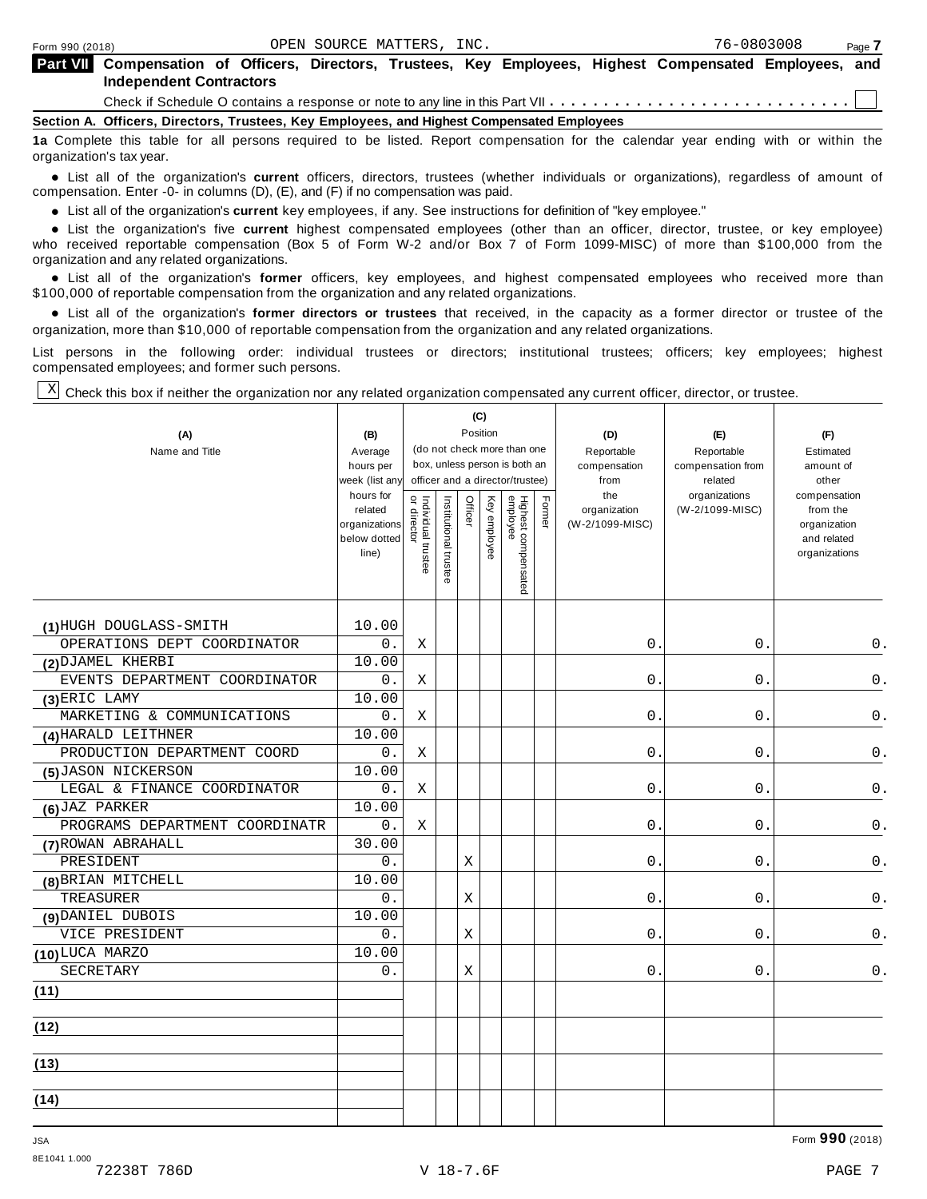| Part VII Compensation of Officers, Directors, Trustees, Key Employees, Highest Compensated Employees, and                      |  |  |  |  |  |  |  |  |  |
|--------------------------------------------------------------------------------------------------------------------------------|--|--|--|--|--|--|--|--|--|
| <b>Independent Contractors</b>                                                                                                 |  |  |  |  |  |  |  |  |  |
|                                                                                                                                |  |  |  |  |  |  |  |  |  |
| Section A. Officers, Directors, Trustees, Key Employees, and Highest Compensated Employees                                     |  |  |  |  |  |  |  |  |  |
| da Asamalati this table for all concern conduct to be Bated. Decent componenting for the coloradia conduct conduction that the |  |  |  |  |  |  |  |  |  |

**1a** Complete this table for all persons required to be listed. Report compensation for the calendar year ending with or within the organization's tax year.

anization's lax year.<br>● List all of the organization's **current** officers, directors, trustees (whether individuals or organizations), regardless of amount of<br>nnensation Enter -0- in columns (D) (E) and (E) if no compensa compensation. Enter -0- in columns (D), (E), and (F) if no compensation was paid.

• List all of the organization's **current** key employees, if any. See instructions for definition of "key employee."<br>● List the experientials five expect highest expressed explores (other than an efficer director of

**Example in the organization's current** key employees, if any. See instructions for definition of key employee.<br>• List the organization's five **current** highest compensated employees (other than an officer, director, trust who received reportable compensation (Box 5 of Form W-2 and/or Box 7 of Form 1099-MISC) of more than \$100,000 from the

organization and any related organizations.<br>• List all of the organization's **former** officers, key employees, and highest compensated employees who received more than<br>\$1.00.000 of reportable componention from the erganiza \$100,000 of reportable compensation from the organization and any related organizations.

% List all of the organization's **former directors or trustees** that received, in the capacity as a former director or trustee of the organization, more than \$10,000 of reportable compensation from the organization and any related organizations.

List persons in the following order: individual trustees or directors; institutional trustees; officers; key employees; highest compensated employees; and former such persons.

Check this box if neither the organization nor any related organization compensated any current officer, director, or trustee. X

|                                |                               | (C)<br>Position                     |                       |                                 |              |                                                              |        |                            |                                 |                             |
|--------------------------------|-------------------------------|-------------------------------------|-----------------------|---------------------------------|--------------|--------------------------------------------------------------|--------|----------------------------|---------------------------------|-----------------------------|
| (A)                            | (B)                           |                                     |                       |                                 |              |                                                              |        | (D)                        | (E)                             | (F)                         |
| Name and Title                 | Average<br>hours per          |                                     |                       |                                 |              | (do not check more than one<br>box, unless person is both an |        | Reportable<br>compensation | Reportable<br>compensation from | Estimated<br>amount of      |
|                                | week (list an <sub>'</sub>    |                                     |                       | officer and a director/trustee) |              |                                                              |        | from                       | related                         | other                       |
|                                | hours for                     |                                     |                       |                                 |              |                                                              |        | the                        | organizations                   | compensation                |
|                                | related                       | Individual trustee<br>  or director | Institutional trustee | Officer                         | Key employee | Highest compensated<br>employee                              | Former | organization               | (W-2/1099-MISC)                 | from the                    |
|                                | organizations<br>below dotted |                                     |                       |                                 |              |                                                              |        | (W-2/1099-MISC)            |                                 | organization<br>and related |
|                                | line)                         |                                     |                       |                                 |              |                                                              |        |                            |                                 | organizations               |
|                                |                               |                                     |                       |                                 |              |                                                              |        |                            |                                 |                             |
|                                |                               |                                     |                       |                                 |              |                                                              |        |                            |                                 |                             |
|                                |                               |                                     |                       |                                 |              |                                                              |        |                            |                                 |                             |
| (1)HUGH DOUGLASS-SMITH         | 10.00                         |                                     |                       |                                 |              |                                                              |        |                            |                                 |                             |
| OPERATIONS DEPT COORDINATOR    | 0.                            | X                                   |                       |                                 |              |                                                              |        | $\overline{0}$ .           | $0$ .                           | 0.                          |
| (2) DJAMEL KHERBI              | 10.00                         |                                     |                       |                                 |              |                                                              |        |                            |                                 |                             |
| EVENTS DEPARTMENT COORDINATOR  | 0.                            | Χ                                   |                       |                                 |              |                                                              |        | 0.                         | 0.                              | $0$ .                       |
| (3) ERIC LAMY                  | 10.00                         |                                     |                       |                                 |              |                                                              |        |                            |                                 |                             |
| MARKETING & COMMUNICATIONS     | 0.                            | X                                   |                       |                                 |              |                                                              |        | 0.                         | 0.                              | $0$ .                       |
| (4) HARALD LEITHNER            | 10.00                         |                                     |                       |                                 |              |                                                              |        |                            |                                 |                             |
| PRODUCTION DEPARTMENT COORD    | 0.                            | Χ                                   |                       |                                 |              |                                                              |        | 0.                         | 0.                              | $\mathsf 0$ .               |
| (5) JASON NICKERSON            | 10.00                         |                                     |                       |                                 |              |                                                              |        |                            |                                 |                             |
| LEGAL & FINANCE COORDINATOR    | 0.                            | X                                   |                       |                                 |              |                                                              |        | 0.                         | $0$ .                           | 0.                          |
| $(6)$ JAZ PARKER               | 10.00                         |                                     |                       |                                 |              |                                                              |        |                            |                                 |                             |
| PROGRAMS DEPARTMENT COORDINATR | 0.                            | X                                   |                       |                                 |              |                                                              |        | 0.                         | $0$ .                           | 0.                          |
| (7) ROWAN ABRAHALL             | 30.00                         |                                     |                       |                                 |              |                                                              |        |                            |                                 |                             |
| PRESIDENT                      | 0.                            |                                     |                       | Χ                               |              |                                                              |        | 0.                         | 0.                              | 0.                          |
| (8) BRIAN MITCHELL             | 10.00                         |                                     |                       |                                 |              |                                                              |        |                            |                                 |                             |
| TREASURER                      | $0$ .                         |                                     |                       | X                               |              |                                                              |        | $\mathsf{O}$ .             | $0$ .                           | $0$ .                       |
| (9) DANIEL DUBOIS              | 10.00                         |                                     |                       |                                 |              |                                                              |        |                            |                                 |                             |
| VICE PRESIDENT                 | 0.                            |                                     |                       | X                               |              |                                                              |        | 0.                         | $0$ .                           | 0.                          |
| (10) LUCA MARZO                | 10.00                         |                                     |                       |                                 |              |                                                              |        |                            |                                 |                             |
| SECRETARY                      | 0.                            |                                     |                       | Х                               |              |                                                              |        | 0.                         | 0.                              | 0.                          |
| (11)                           |                               |                                     |                       |                                 |              |                                                              |        |                            |                                 |                             |
|                                |                               |                                     |                       |                                 |              |                                                              |        |                            |                                 |                             |
| (12)                           |                               |                                     |                       |                                 |              |                                                              |        |                            |                                 |                             |
|                                |                               |                                     |                       |                                 |              |                                                              |        |                            |                                 |                             |
| (13)                           |                               |                                     |                       |                                 |              |                                                              |        |                            |                                 |                             |
|                                |                               |                                     |                       |                                 |              |                                                              |        |                            |                                 |                             |
| (14)                           |                               |                                     |                       |                                 |              |                                                              |        |                            |                                 |                             |
|                                |                               |                                     |                       |                                 |              |                                                              |        |                            |                                 |                             |

8E1041 1.000

JSA Form **990** (2018)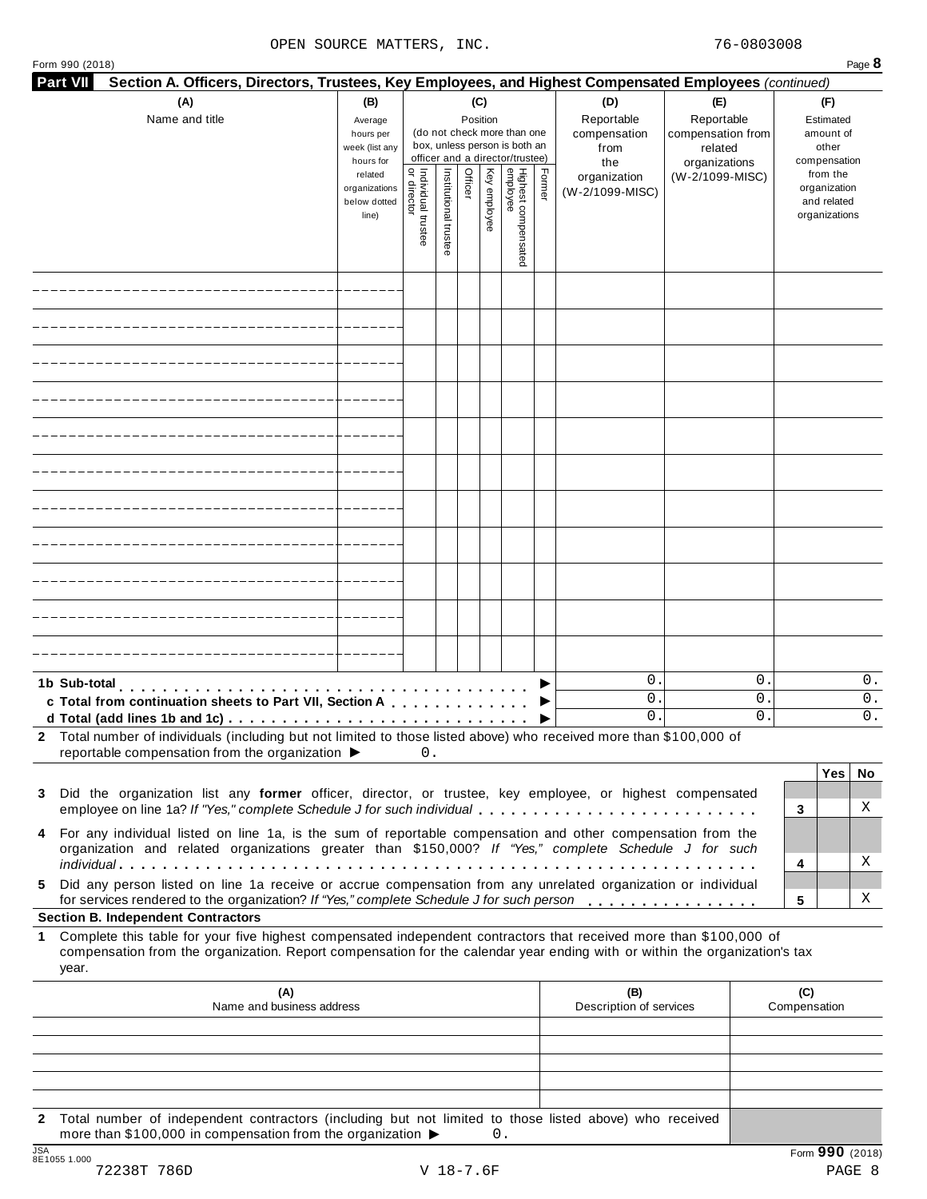### OPEN SOURCE MATTERS, INC. 76-0803008

|              | Form 990 (2018)                                                                                                                                                                                                                                                                                        |                                                            |                                   |                       |                 |              |                                                                                                 |        |                                                  |                                                                    | Page 8                                                   |
|--------------|--------------------------------------------------------------------------------------------------------------------------------------------------------------------------------------------------------------------------------------------------------------------------------------------------------|------------------------------------------------------------|-----------------------------------|-----------------------|-----------------|--------------|-------------------------------------------------------------------------------------------------|--------|--------------------------------------------------|--------------------------------------------------------------------|----------------------------------------------------------|
|              | <b>Part VII</b><br>Section A. Officers, Directors, Trustees, Key Employees, and Highest Compensated Employees (continued)                                                                                                                                                                              |                                                            |                                   |                       |                 |              |                                                                                                 |        |                                                  |                                                                    |                                                          |
|              | (A)<br>Name and title                                                                                                                                                                                                                                                                                  | (B)<br>Average<br>hours per<br>week (list any<br>hours for |                                   |                       | (C)<br>Position |              | (do not check more than one<br>box, unless person is both an<br>officer and a director/trustee) |        | (D)<br>Reportable<br>compensation<br>from<br>the | (E)<br>Reportable<br>compensation from<br>related<br>organizations | (F)<br>Estimated<br>amount of<br>other<br>compensation   |
|              |                                                                                                                                                                                                                                                                                                        | related<br>organizations<br>below dotted<br>line)          | Individual trustee<br>or director | Institutional trustee | Officer         | Key employee | Highest compensated<br>employee                                                                 | Former | organization<br>(W-2/1099-MISC)                  | (W-2/1099-MISC)                                                    | from the<br>organization<br>and related<br>organizations |
|              |                                                                                                                                                                                                                                                                                                        |                                                            |                                   |                       |                 |              |                                                                                                 |        |                                                  |                                                                    |                                                          |
|              |                                                                                                                                                                                                                                                                                                        |                                                            |                                   |                       |                 |              |                                                                                                 |        |                                                  |                                                                    |                                                          |
|              |                                                                                                                                                                                                                                                                                                        |                                                            |                                   |                       |                 |              |                                                                                                 |        |                                                  |                                                                    |                                                          |
|              |                                                                                                                                                                                                                                                                                                        |                                                            |                                   |                       |                 |              |                                                                                                 |        |                                                  |                                                                    |                                                          |
|              |                                                                                                                                                                                                                                                                                                        |                                                            |                                   |                       |                 |              |                                                                                                 |        |                                                  |                                                                    |                                                          |
|              |                                                                                                                                                                                                                                                                                                        |                                                            |                                   |                       |                 |              |                                                                                                 |        |                                                  |                                                                    |                                                          |
|              |                                                                                                                                                                                                                                                                                                        |                                                            |                                   |                       |                 |              |                                                                                                 |        |                                                  |                                                                    |                                                          |
|              |                                                                                                                                                                                                                                                                                                        |                                                            |                                   |                       |                 |              |                                                                                                 |        |                                                  |                                                                    |                                                          |
|              |                                                                                                                                                                                                                                                                                                        |                                                            |                                   |                       |                 |              |                                                                                                 |        |                                                  |                                                                    |                                                          |
|              |                                                                                                                                                                                                                                                                                                        |                                                            |                                   |                       |                 |              |                                                                                                 |        |                                                  |                                                                    |                                                          |
|              |                                                                                                                                                                                                                                                                                                        |                                                            |                                   |                       |                 |              |                                                                                                 |        |                                                  |                                                                    |                                                          |
|              | 1b Sub-total<br>c Total from continuation sheets to Part VII, Section A<br>d Total (add lines 1b and 1c) $\ldots \ldots \ldots \ldots \ldots \ldots \ldots \ldots \ldots \ldots \ldots$                                                                                                                |                                                            |                                   |                       |                 |              |                                                                                                 |        | 0.<br>$\mathbf 0$ .<br>0.                        | $\mathsf{O}$ .<br>$\mathsf{O}$ .<br>$\mathbf{0}$ .                 | 0.<br>0.<br>0.                                           |
|              | 2 Total number of individuals (including but not limited to those listed above) who received more than \$100,000 of<br>reportable compensation from the organization ▶                                                                                                                                 |                                                            | 0.                                |                       |                 |              |                                                                                                 |        |                                                  |                                                                    |                                                          |
|              | 3 Did the organization list any former officer, director, or trustee, key employee, or highest compensated<br>employee on line 1a? If "Yes," complete Schedule J for such individual                                                                                                                   |                                                            |                                   |                       |                 |              |                                                                                                 |        |                                                  |                                                                    | Yes<br>No<br>X<br>3                                      |
|              | 4 For any individual listed on line 1a, is the sum of reportable compensation and other compensation from the<br>organization and related organizations greater than \$150,000? If "Yes," complete Schedule J for such                                                                                 |                                                            |                                   |                       |                 |              |                                                                                                 |        |                                                  |                                                                    | Χ<br>4                                                   |
| 5.           | Did any person listed on line 1a receive or accrue compensation from any unrelated organization or individual<br>for services rendered to the organization? If "Yes," complete Schedule J for such person                                                                                              |                                                            |                                   |                       |                 |              |                                                                                                 |        |                                                  |                                                                    | X<br>5                                                   |
| 1            | <b>Section B. Independent Contractors</b><br>Complete this table for your five highest compensated independent contractors that received more than \$100,000 of<br>compensation from the organization. Report compensation for the calendar year ending with or within the organization's tax<br>year. |                                                            |                                   |                       |                 |              |                                                                                                 |        |                                                  |                                                                    |                                                          |
|              | (A)<br>Name and business address                                                                                                                                                                                                                                                                       |                                                            |                                   |                       |                 |              |                                                                                                 |        | (B)<br>Description of services                   |                                                                    | (C)<br>Compensation                                      |
|              |                                                                                                                                                                                                                                                                                                        |                                                            |                                   |                       |                 |              |                                                                                                 |        |                                                  |                                                                    |                                                          |
|              |                                                                                                                                                                                                                                                                                                        |                                                            |                                   |                       |                 |              |                                                                                                 |        |                                                  |                                                                    |                                                          |
| $\mathbf{2}$ | Total number of independent contractors (including but not limited to those listed above) who received                                                                                                                                                                                                 |                                                            |                                   |                       |                 |              |                                                                                                 |        |                                                  |                                                                    |                                                          |
|              | more than \$100,000 in compensation from the organization ▶                                                                                                                                                                                                                                            |                                                            |                                   |                       |                 | 0.           |                                                                                                 |        |                                                  |                                                                    |                                                          |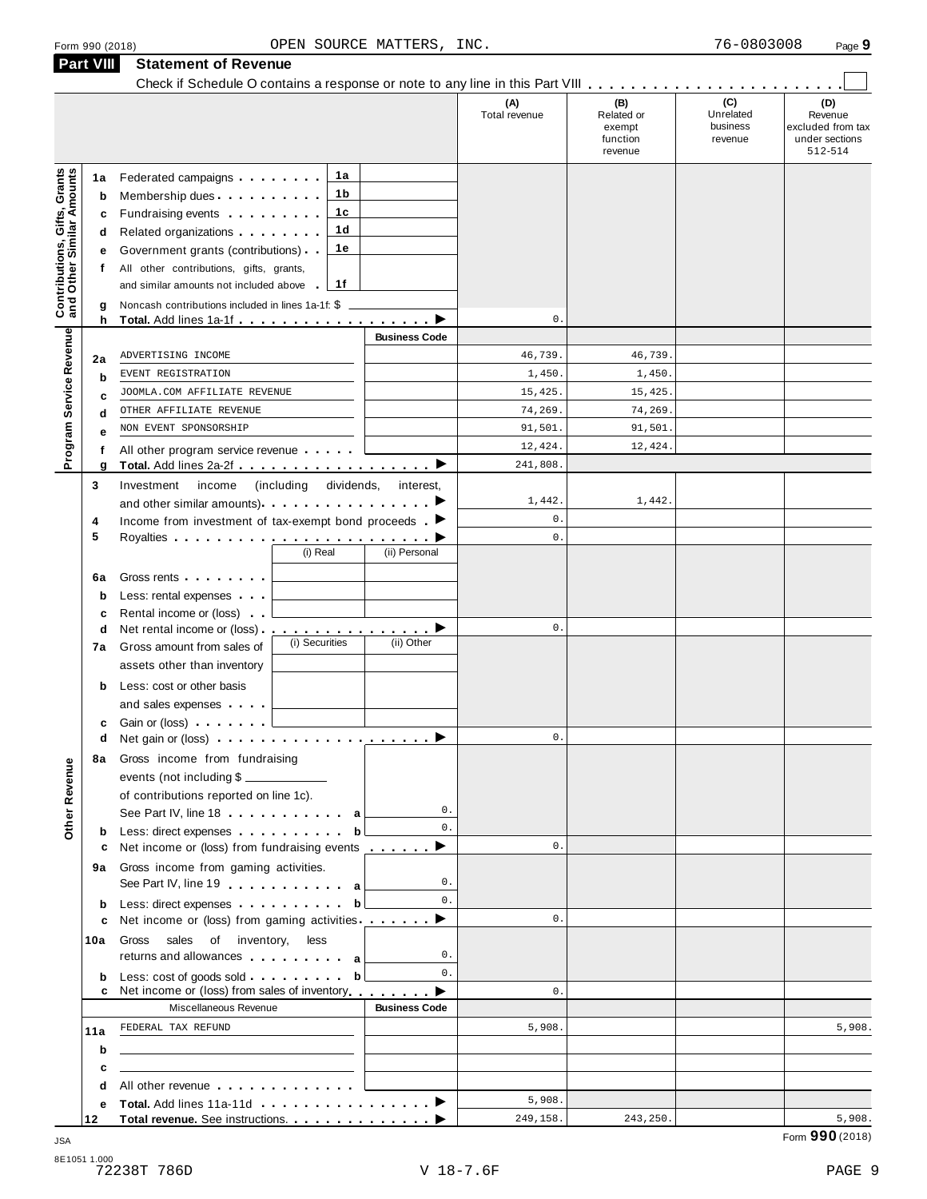|                                                                       | Check if Schedule O contains a response or note to any line in this Part VIII                                                                                                                                                              |                      |                                                    |                                         |                                                                  |
|-----------------------------------------------------------------------|--------------------------------------------------------------------------------------------------------------------------------------------------------------------------------------------------------------------------------------------|----------------------|----------------------------------------------------|-----------------------------------------|------------------------------------------------------------------|
|                                                                       |                                                                                                                                                                                                                                            | (A)<br>Total revenue | (B)<br>Related or<br>exempt<br>function<br>revenue | (C)<br>Unrelated<br>business<br>revenue | (D)<br>Revenue<br>excluded from tax<br>under sections<br>512-514 |
| 1a                                                                    | 1а<br>Federated campaigns                                                                                                                                                                                                                  |                      |                                                    |                                         |                                                                  |
| b                                                                     | 1 b<br>Membership dues                                                                                                                                                                                                                     |                      |                                                    |                                         |                                                                  |
| c                                                                     | 1с<br>Fundraising events <b>Fundraising</b>                                                                                                                                                                                                |                      |                                                    |                                         |                                                                  |
| d                                                                     | 1d<br>Related organizations <b>and the set of the set of the set of the set of the set of the set of the set of the set of the set of the set of the set of the set of the set of the set of the set of the set of the set of the set </b> |                      |                                                    |                                         |                                                                  |
| е                                                                     | 1е<br>Government grants (contributions)                                                                                                                                                                                                    |                      |                                                    |                                         |                                                                  |
| f                                                                     | All other contributions, gifts, grants,                                                                                                                                                                                                    |                      |                                                    |                                         |                                                                  |
|                                                                       | 1f<br>and similar amounts not included above                                                                                                                                                                                               |                      |                                                    |                                         |                                                                  |
| <b>Contributions, Gifts, Grants</b><br>and Other Similar Amounts<br>g | Noncash contributions included in lines 1a-1f: \$                                                                                                                                                                                          | $\mathbf 0$ .        |                                                    |                                         |                                                                  |
| h                                                                     | <b>Business Code</b>                                                                                                                                                                                                                       |                      |                                                    |                                         |                                                                  |
| Program Service Revenue<br>2a                                         | ADVERTISING INCOME                                                                                                                                                                                                                         | 46,739.              | 46,739.                                            |                                         |                                                                  |
| b                                                                     | EVENT REGISTRATION                                                                                                                                                                                                                         | 1,450.               | 1,450.                                             |                                         |                                                                  |
| C                                                                     | JOOMLA.COM AFFILIATE REVENUE                                                                                                                                                                                                               | 15,425.              | 15,425.                                            |                                         |                                                                  |
| d                                                                     | OTHER AFFILIATE REVENUE                                                                                                                                                                                                                    | 74,269.              | 74,269.                                            |                                         |                                                                  |
| e                                                                     | NON EVENT SPONSORSHIP                                                                                                                                                                                                                      | 91,501.              | 91,501.                                            |                                         |                                                                  |
| f                                                                     | All other program service revenue                                                                                                                                                                                                          | 12,424.              | 12,424.                                            |                                         |                                                                  |
| g                                                                     | ▸                                                                                                                                                                                                                                          | 241,808              |                                                    |                                         |                                                                  |
| 3                                                                     | Investment<br>(including<br>income<br>dividends,<br>interest,                                                                                                                                                                              |                      |                                                    |                                         |                                                                  |
|                                                                       |                                                                                                                                                                                                                                            | 1,442.               | 1,442.                                             |                                         |                                                                  |
| 4                                                                     | Income from investment of tax-exempt bond proceeds $\blacksquare$                                                                                                                                                                          | $\mathbf{0}$ .       |                                                    |                                         |                                                                  |
| 5                                                                     |                                                                                                                                                                                                                                            | $\mathbb O$ .        |                                                    |                                         |                                                                  |
|                                                                       | (i) Real<br>(ii) Personal                                                                                                                                                                                                                  |                      |                                                    |                                         |                                                                  |
| 6а                                                                    | Gross rents <b>contains a container</b>                                                                                                                                                                                                    |                      |                                                    |                                         |                                                                  |
| b                                                                     | Less: rental expenses                                                                                                                                                                                                                      |                      |                                                    |                                         |                                                                  |
| c                                                                     | Rental income or (loss)                                                                                                                                                                                                                    |                      |                                                    |                                         |                                                                  |
| d                                                                     | Net rental income or (loss) <b>interact in the set of the Contract of America</b> ▶                                                                                                                                                        | $\mathbf{0}$ .       |                                                    |                                         |                                                                  |
| 7а                                                                    | (i) Securities<br>(ii) Other<br>Gross amount from sales of                                                                                                                                                                                 |                      |                                                    |                                         |                                                                  |
|                                                                       | assets other than inventory                                                                                                                                                                                                                |                      |                                                    |                                         |                                                                  |
| b                                                                     | Less: cost or other basis                                                                                                                                                                                                                  |                      |                                                    |                                         |                                                                  |
|                                                                       | and sales expenses                                                                                                                                                                                                                         |                      |                                                    |                                         |                                                                  |
| с                                                                     |                                                                                                                                                                                                                                            |                      |                                                    |                                         |                                                                  |
| d                                                                     | Net gain or (loss) example a series and the series of the series of the series of the series of the series of                                                                                                                              | $\mathbf 0$ .        |                                                    |                                         |                                                                  |
| 8а                                                                    | Gross income from fundraising                                                                                                                                                                                                              |                      |                                                    |                                         |                                                                  |
|                                                                       | events (not including \$                                                                                                                                                                                                                   |                      |                                                    |                                         |                                                                  |
|                                                                       | of contributions reported on line 1c).                                                                                                                                                                                                     |                      |                                                    |                                         |                                                                  |
| Other Revenue                                                         | 0.<br>See Part IV, line 18 a                                                                                                                                                                                                               |                      |                                                    |                                         |                                                                  |
| b                                                                     | $0$ .<br>Less: direct expenses<br>$\mathbf{b}$                                                                                                                                                                                             | $\mathbf{0}$ .       |                                                    |                                         |                                                                  |
| c                                                                     | Net income or (loss) from fundraising events <u></u> ▶                                                                                                                                                                                     |                      |                                                    |                                         |                                                                  |
| 9а                                                                    | Gross income from gaming activities.<br>0.                                                                                                                                                                                                 |                      |                                                    |                                         |                                                                  |
|                                                                       | See Part IV, line 19 and such a set of the set of the set of the set of the set of the set of the set of the set of the set of the set of the set of the set of the set of the set of the set of the set of the set of the set<br>$0$ .    |                      |                                                    |                                         |                                                                  |
| b                                                                     | Less: direct expenses<br>$\mathbf{b}$<br>Net income or (loss) from gaming activities                                                                                                                                                       | $\mathbf{0}$ .       |                                                    |                                         |                                                                  |
| c                                                                     |                                                                                                                                                                                                                                            |                      |                                                    |                                         |                                                                  |
| 10a                                                                   | Gross sales of inventory, less<br>0.<br>returns and allowances and allowances                                                                                                                                                              |                      |                                                    |                                         |                                                                  |
|                                                                       | 0.                                                                                                                                                                                                                                         |                      |                                                    |                                         |                                                                  |
| b<br>c                                                                | Net income or (loss) from sales of inventory<br>▶                                                                                                                                                                                          | $\mathbf{0}$ .       |                                                    |                                         |                                                                  |
|                                                                       | Miscellaneous Revenue<br><b>Business Code</b>                                                                                                                                                                                              |                      |                                                    |                                         |                                                                  |
| 11a                                                                   | FEDERAL TAX REFUND                                                                                                                                                                                                                         | 5,908.               |                                                    |                                         | 5,908.                                                           |
| b                                                                     | the control of the control of the control of the control of the control of the control of                                                                                                                                                  |                      |                                                    |                                         |                                                                  |
| c                                                                     | the contract of the contract of the contract of the contract of the contract of                                                                                                                                                            |                      |                                                    |                                         |                                                                  |
| d                                                                     | All other revenue entering the set of the set of the set of the set of the set of the set of the set of the set of the set of the set of the set of the set of the set of the set of the set of the set of the set of the set              |                      |                                                    |                                         |                                                                  |
| е                                                                     |                                                                                                                                                                                                                                            | 5,908.               |                                                    |                                         |                                                                  |
| 12                                                                    |                                                                                                                                                                                                                                            | 249,158.             | 243,250.                                           |                                         | 5,908.                                                           |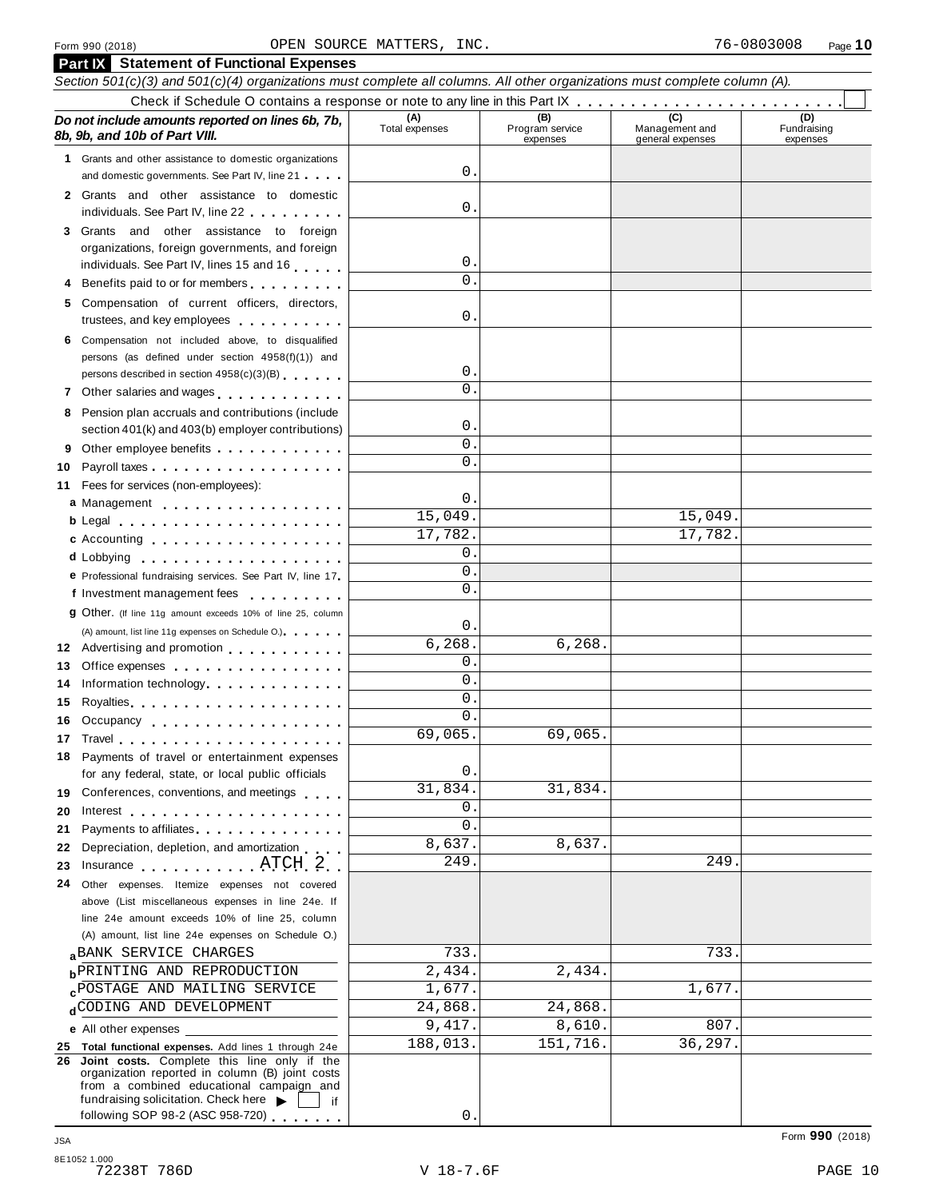|    | <b>Part IX</b> Statement of Functional Expenses                                                                                     |                       |                                    |                                           |                                |  |  |  |  |  |  |
|----|-------------------------------------------------------------------------------------------------------------------------------------|-----------------------|------------------------------------|-------------------------------------------|--------------------------------|--|--|--|--|--|--|
|    | Section 501(c)(3) and 501(c)(4) organizations must complete all columns. All other organizations must complete column (A).          |                       |                                    |                                           |                                |  |  |  |  |  |  |
|    |                                                                                                                                     |                       |                                    |                                           |                                |  |  |  |  |  |  |
|    | Do not include amounts reported on lines 6b, 7b,<br>8b, 9b, and 10b of Part VIII.                                                   | (A)<br>Total expenses | (B)<br>Program service<br>expenses | (C)<br>Management and<br>general expenses | (D)<br>Fundraising<br>expenses |  |  |  |  |  |  |
|    | 1 Grants and other assistance to domestic organizations                                                                             |                       |                                    |                                           |                                |  |  |  |  |  |  |
|    | and domestic governments. See Part IV, line 21                                                                                      | 0                     |                                    |                                           |                                |  |  |  |  |  |  |
|    | 2 Grants and other assistance to domestic                                                                                           |                       |                                    |                                           |                                |  |  |  |  |  |  |
|    | individuals. See Part IV, line 22                                                                                                   | $0$ .                 |                                    |                                           |                                |  |  |  |  |  |  |
|    | 3 Grants and other assistance to foreign                                                                                            |                       |                                    |                                           |                                |  |  |  |  |  |  |
|    | organizations, foreign governments, and foreign                                                                                     | 0.                    |                                    |                                           |                                |  |  |  |  |  |  |
|    | individuals. See Part IV, lines 15 and 16                                                                                           | $\Omega$ .            |                                    |                                           |                                |  |  |  |  |  |  |
|    | 4 Benefits paid to or for members                                                                                                   |                       |                                    |                                           |                                |  |  |  |  |  |  |
|    | 5 Compensation of current officers, directors,<br>trustees, and key employees                                                       | $0$ .                 |                                    |                                           |                                |  |  |  |  |  |  |
|    | 6 Compensation not included above, to disqualified                                                                                  |                       |                                    |                                           |                                |  |  |  |  |  |  |
|    | persons (as defined under section 4958(f)(1)) and                                                                                   |                       |                                    |                                           |                                |  |  |  |  |  |  |
|    | persons described in section 4958(c)(3)(B)                                                                                          | 0.                    |                                    |                                           |                                |  |  |  |  |  |  |
|    | 7 Other salaries and wages                                                                                                          | $\Omega$ .            |                                    |                                           |                                |  |  |  |  |  |  |
|    | 8 Pension plan accruals and contributions (include                                                                                  |                       |                                    |                                           |                                |  |  |  |  |  |  |
|    | section 401(k) and 403(b) employer contributions)                                                                                   | 0.<br>$\Omega$ .      |                                    |                                           |                                |  |  |  |  |  |  |
| 9  |                                                                                                                                     | $\Omega$ .            |                                    |                                           |                                |  |  |  |  |  |  |
| 10 |                                                                                                                                     |                       |                                    |                                           |                                |  |  |  |  |  |  |
| 11 | Fees for services (non-employees):                                                                                                  | 0.                    |                                    |                                           |                                |  |  |  |  |  |  |
|    | a Management                                                                                                                        | 15,049.               |                                    | 15,049.                                   |                                |  |  |  |  |  |  |
|    | b Legal and the contract of the contract of the contract of the contract of the contract of the contract of the                     | 17,782.               |                                    | 17,782.                                   |                                |  |  |  |  |  |  |
|    | c Accounting                                                                                                                        | 0.                    |                                    |                                           |                                |  |  |  |  |  |  |
|    | d Lobbying<br>.                                                                                                                     | $\mathbf 0$ .         |                                    |                                           |                                |  |  |  |  |  |  |
|    | e Professional fundraising services. See Part IV, line 17<br>f Investment management fees                                           | $\Omega$ .            |                                    |                                           |                                |  |  |  |  |  |  |
|    |                                                                                                                                     |                       |                                    |                                           |                                |  |  |  |  |  |  |
|    | <b>g</b> Other. (If line 11g amount exceeds 10% of line 25, column                                                                  | 0.                    |                                    |                                           |                                |  |  |  |  |  |  |
|    | (A) amount, list line 11g expenses on Schedule O.)<br>12 Advertising and promotion                                                  | 6, 268.               | 6, 268.                            |                                           |                                |  |  |  |  |  |  |
| 13 | Office expenses extensive and the set of the set of the set of the set of the set of the set of the set of the                      | 0.                    |                                    |                                           |                                |  |  |  |  |  |  |
| 14 | Information technology.                                                                                                             | $\mathbf 0$ .         |                                    |                                           |                                |  |  |  |  |  |  |
| 15 |                                                                                                                                     | $\mathbf 0$ .         |                                    |                                           |                                |  |  |  |  |  |  |
| 16 | Occupancy                                                                                                                           | 0.                    |                                    |                                           |                                |  |  |  |  |  |  |
|    | 17 Travel                                                                                                                           | 69,065.               | 69,065.                            |                                           |                                |  |  |  |  |  |  |
|    | 18 Payments of travel or entertainment expenses                                                                                     |                       |                                    |                                           |                                |  |  |  |  |  |  |
|    | for any federal, state, or local public officials                                                                                   | 0.                    |                                    |                                           |                                |  |  |  |  |  |  |
| 19 | Conferences, conventions, and meetings                                                                                              | 31,834.               | 31,834.                            |                                           |                                |  |  |  |  |  |  |
| 20 | Interest                                                                                                                            | 0.                    |                                    |                                           |                                |  |  |  |  |  |  |
| 21 | Payments to affiliates experience and the property of the set of the set of the set of the set of the set of the                    | 0.                    |                                    |                                           |                                |  |  |  |  |  |  |
| 22 | Depreciation, depletion, and amortization                                                                                           | 8,637.                | 8,637.                             |                                           |                                |  |  |  |  |  |  |
| 23 | Insurance ATCH 2                                                                                                                    | 249.                  |                                    | 249                                       |                                |  |  |  |  |  |  |
| 24 | Other expenses. Itemize expenses not covered                                                                                        |                       |                                    |                                           |                                |  |  |  |  |  |  |
|    | above (List miscellaneous expenses in line 24e. If                                                                                  |                       |                                    |                                           |                                |  |  |  |  |  |  |
|    | line 24e amount exceeds 10% of line 25, column                                                                                      |                       |                                    |                                           |                                |  |  |  |  |  |  |
|    | (A) amount, list line 24e expenses on Schedule O.)                                                                                  |                       |                                    |                                           |                                |  |  |  |  |  |  |
|    | <b>aBANK SERVICE CHARGES</b>                                                                                                        | 733.                  |                                    | 733                                       |                                |  |  |  |  |  |  |
|    | <b>b</b> PRINTING AND REPRODUCTION                                                                                                  | 2,434.<br>1,677.      | 2,434.                             | 1,677.                                    |                                |  |  |  |  |  |  |
|    | <b>CPOSTAGE AND MAILING SERVICE</b><br>dCODING AND DEVELOPMENT                                                                      | 24,868.               | 24,868.                            |                                           |                                |  |  |  |  |  |  |
|    |                                                                                                                                     | 9,417.                | 8,610.                             | 807.                                      |                                |  |  |  |  |  |  |
|    | e All other expenses                                                                                                                | 188,013.              | 151,716.                           | 36,297.                                   |                                |  |  |  |  |  |  |
|    | 25 Total functional expenses. Add lines 1 through 24e<br>26 Joint costs. Complete this line only if the                             |                       |                                    |                                           |                                |  |  |  |  |  |  |
|    | organization reported in column (B) joint costs<br>from a combined educational campaign and<br>fundraising solicitation. Check here |                       |                                    |                                           |                                |  |  |  |  |  |  |
|    | if<br>following SOP 98-2 (ASC 958-720)                                                                                              | 0.                    |                                    |                                           |                                |  |  |  |  |  |  |
|    |                                                                                                                                     |                       |                                    |                                           |                                |  |  |  |  |  |  |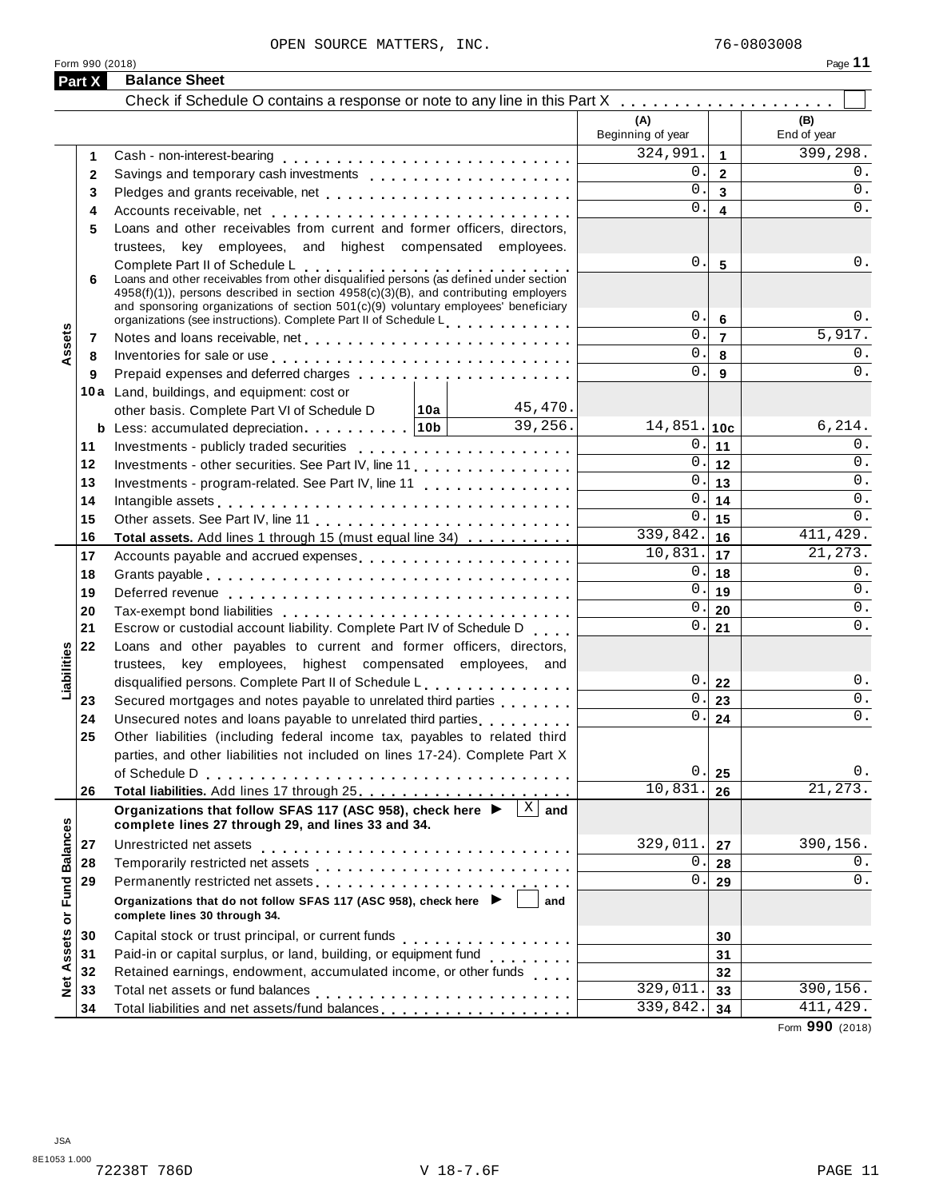| <br>г.<br>⊷<br>٠ |  |  |
|------------------|--|--|
|                  |  |  |

|                   | Part X | <b>Balance Sheet</b>                                                                                                                                                                                                                                                                                                                          |                          |                                   |                        |
|-------------------|--------|-----------------------------------------------------------------------------------------------------------------------------------------------------------------------------------------------------------------------------------------------------------------------------------------------------------------------------------------------|--------------------------|-----------------------------------|------------------------|
|                   |        |                                                                                                                                                                                                                                                                                                                                               |                          |                                   |                        |
|                   |        |                                                                                                                                                                                                                                                                                                                                               | (A)<br>Beginning of year |                                   | (B)<br>End of year     |
|                   | 1      |                                                                                                                                                                                                                                                                                                                                               | 324,991.                 | $\mathbf{1}$                      | $\overline{399,}$ 298. |
|                   | 2      |                                                                                                                                                                                                                                                                                                                                               | 0.                       | $\overline{2}$                    | 0.                     |
|                   | 3      |                                                                                                                                                                                                                                                                                                                                               | 0.                       | $\overline{3}$                    | 0.                     |
|                   | 4      |                                                                                                                                                                                                                                                                                                                                               | 0.                       | $\overline{\mathbf{4}}$           | 0.                     |
|                   | 5      | Loans and other receivables from current and former officers, directors,                                                                                                                                                                                                                                                                      |                          |                                   |                        |
|                   |        | trustees, key employees, and highest compensated employees.                                                                                                                                                                                                                                                                                   |                          |                                   |                        |
|                   | 6      | Complete Part II of Schedule L<br>Complete Part II of Schedule L<br>Loans and other receivables from other disqualified persons (as defined under section<br>$4958(f)(1)$ , persons described in section $4958(c)(3)(B)$ , and contributing employers<br>and sponsoring organizations of section $501(c)(9)$ voluntary employees' beneficiary | 0.1<br>0.                | 5                                 | 0.<br>0.               |
|                   |        | organizations (see instructions). Complete Part II of Schedule L                                                                                                                                                                                                                                                                              | 0.                       | $6\phantom{1}6$<br>$\overline{7}$ | $\overline{5,917.}$    |
| Assets            | 7      |                                                                                                                                                                                                                                                                                                                                               | 0.                       |                                   | 0.                     |
|                   | 8      | Inventories for sale or use enterprise and and all the context of the context of the context of the context of the context of the context of the context of the context of the context of the context of the context of the co                                                                                                                | 0.                       | 8                                 | 0.                     |
|                   | 9      |                                                                                                                                                                                                                                                                                                                                               |                          | 9                                 |                        |
|                   |        | 10a Land, buildings, and equipment: cost or<br>45,470.                                                                                                                                                                                                                                                                                        |                          |                                   |                        |
|                   |        | other basis. Complete Part VI of Schedule D<br>∣10a ∣<br>39,256.                                                                                                                                                                                                                                                                              | $14,851.$ 10c            |                                   | 6, 214.                |
|                   | 11     |                                                                                                                                                                                                                                                                                                                                               | 0.1                      | 11                                | 0.                     |
|                   | 12     | Investments - other securities. See Part IV, line 11                                                                                                                                                                                                                                                                                          | 0.1                      | 12                                | 0.                     |
|                   | 13     | Investments - program-related. See Part IV, line 11                                                                                                                                                                                                                                                                                           | 0.1                      | 13                                | 0.                     |
|                   | 14     |                                                                                                                                                                                                                                                                                                                                               | 0.1                      | 14                                | 0.                     |
|                   | 15     |                                                                                                                                                                                                                                                                                                                                               | 0.1                      | 15                                | 0.                     |
|                   | 16     | Total assets. Add lines 1 through 15 (must equal line 34)                                                                                                                                                                                                                                                                                     | 339,842.                 | 16                                | 411,429.               |
|                   | 17     | Accounts payable and accrued expenses                                                                                                                                                                                                                                                                                                         | 10,831.                  | 17                                | 21, 273.               |
|                   | 18     |                                                                                                                                                                                                                                                                                                                                               | 0.1                      | 18                                | 0.                     |
|                   | 19     |                                                                                                                                                                                                                                                                                                                                               | 0.1                      | 19                                | 0.                     |
|                   | 20     |                                                                                                                                                                                                                                                                                                                                               | 0.1                      | 20                                | 0.                     |
|                   | 21     | Escrow or custodial account liability. Complete Part IV of Schedule D                                                                                                                                                                                                                                                                         | 0.1                      | 21                                | 0.                     |
|                   | 22     | Loans and other payables to current and former officers, directors,                                                                                                                                                                                                                                                                           |                          |                                   |                        |
| Liabilities       |        | trustees, key employees, highest compensated employees, and                                                                                                                                                                                                                                                                                   |                          |                                   |                        |
|                   |        | disqualified persons. Complete Part II of Schedule L.                                                                                                                                                                                                                                                                                         |                          | 0.122                             | 0.                     |
|                   | 23     | Secured mortgages and notes payable to unrelated third parties                                                                                                                                                                                                                                                                                | 0.1                      | 23                                | 0.                     |
|                   | 24     | Unsecured notes and loans payable to unrelated third parties                                                                                                                                                                                                                                                                                  | 0.                       | 24                                | 0.                     |
|                   | 25     | Other liabilities (including federal income tax, payables to related third                                                                                                                                                                                                                                                                    |                          |                                   |                        |
|                   |        | parties, and other liabilities not included on lines 17-24). Complete Part X                                                                                                                                                                                                                                                                  |                          |                                   |                        |
|                   |        |                                                                                                                                                                                                                                                                                                                                               | 0.                       | 25                                | 0.                     |
|                   | 26     |                                                                                                                                                                                                                                                                                                                                               | 10, 831.                 | 26                                | 21, 273.               |
|                   |        | $\mathbf X$<br>Organizations that follow SFAS 117 (ASC 958), check here ▶<br>and<br>complete lines 27 through 29, and lines 33 and 34.                                                                                                                                                                                                        |                          |                                   |                        |
|                   | 27     | Unrestricted net assets                                                                                                                                                                                                                                                                                                                       | 329,011.                 | 27                                | 390,156.               |
|                   | 28     |                                                                                                                                                                                                                                                                                                                                               | 0.                       | 28                                | 0.                     |
|                   | 29     | Permanently restricted net assets entertainment of the set of the set of the set of the set of the set of the set of the set of the set of the set of the set of the set of the set of the set of the set of the set of the se                                                                                                                | 0.                       | 29                                | 0.                     |
| or Fund Balances  |        | Organizations that do not follow SFAS 117 (ASC 958), check here ▶<br>and<br>complete lines 30 through 34.                                                                                                                                                                                                                                     |                          |                                   |                        |
|                   | 30     | Capital stock or trust principal, or current funds                                                                                                                                                                                                                                                                                            |                          | 30                                |                        |
|                   | 31     | .<br>Paid-in or capital surplus, or land, building, or equipment fund<br>.                                                                                                                                                                                                                                                                    |                          | 31                                |                        |
|                   | 32     | Retained earnings, endowment, accumulated income, or other funds                                                                                                                                                                                                                                                                              |                          | 32                                |                        |
| <b>Net Assets</b> | 33     |                                                                                                                                                                                                                                                                                                                                               | 329,011.                 | 33                                | 390,156.               |
|                   | 34     | Total liabilities and net assets/fund balances                                                                                                                                                                                                                                                                                                | 339,842.                 | 34                                | 411,429.               |

Form **990** (2018)

Form 990 (2018)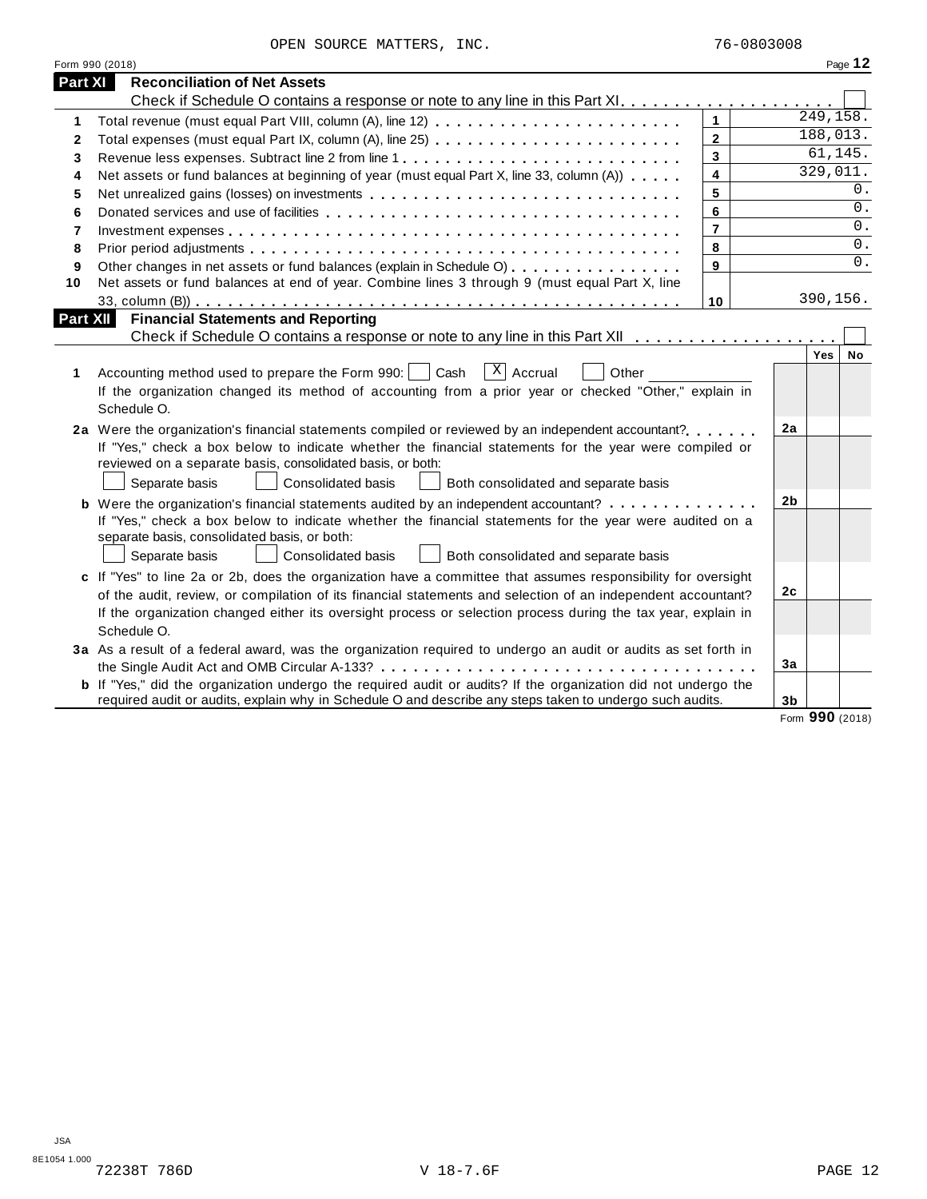OPEN SOURCE MATTERS, INC. 76-0803008

|                | Form 990 (2018)                                                                                                                                                                                                                                                                                                                                               |                         |    |           | Page 12   |
|----------------|---------------------------------------------------------------------------------------------------------------------------------------------------------------------------------------------------------------------------------------------------------------------------------------------------------------------------------------------------------------|-------------------------|----|-----------|-----------|
| Part XI        | <b>Reconciliation of Net Assets</b>                                                                                                                                                                                                                                                                                                                           |                         |    |           |           |
|                |                                                                                                                                                                                                                                                                                                                                                               |                         |    |           |           |
| 1              | Total revenue (must equal Part VIII, column (A), line 12)                                                                                                                                                                                                                                                                                                     | $\mathbf{1}$            |    | 249, 158. |           |
| 2              | Total expenses (must equal Part IX, column (A), line 25)                                                                                                                                                                                                                                                                                                      | $\mathbf{2}$            |    | 188,013.  |           |
| 3              |                                                                                                                                                                                                                                                                                                                                                               | $\overline{\mathbf{3}}$ |    | 61,145.   |           |
| 4              | Net assets or fund balances at beginning of year (must equal Part X, line 33, column (A))                                                                                                                                                                                                                                                                     | $\overline{\mathbf{4}}$ |    | 329,011.  |           |
| 5              |                                                                                                                                                                                                                                                                                                                                                               | 5                       |    |           | 0.        |
| 6              |                                                                                                                                                                                                                                                                                                                                                               | 6                       |    |           | 0.        |
| $\overline{7}$ |                                                                                                                                                                                                                                                                                                                                                               | $\overline{7}$          |    |           | $0$ .     |
| 8              |                                                                                                                                                                                                                                                                                                                                                               | 8                       |    |           | $0$ .     |
| 9              | Other changes in net assets or fund balances (explain in Schedule O)                                                                                                                                                                                                                                                                                          | 9                       |    |           | 0.        |
| 10             | Net assets or fund balances at end of year. Combine lines 3 through 9 (must equal Part X, line                                                                                                                                                                                                                                                                |                         |    |           |           |
|                |                                                                                                                                                                                                                                                                                                                                                               | 10                      |    | 390,156.  |           |
| Part XII       | <b>Financial Statements and Reporting</b>                                                                                                                                                                                                                                                                                                                     |                         |    |           |           |
|                |                                                                                                                                                                                                                                                                                                                                                               |                         |    |           |           |
| 1              | $x \mid$ Accrual<br>Accounting method used to prepare the Form 990:     Cash<br>Other<br>If the organization changed its method of accounting from a prior year or checked "Other," explain in<br>Schedule O.                                                                                                                                                 |                         |    | Yes       | <b>No</b> |
|                | 2a Were the organization's financial statements compiled or reviewed by an independent accountant?<br>If "Yes," check a box below to indicate whether the financial statements for the year were compiled or<br>reviewed on a separate basis, consolidated basis, or both:<br>Separate basis<br>Consolidated basis<br>Both consolidated and separate basis    |                         | 2a |           |           |
|                | <b>b</b> Were the organization's financial statements audited by an independent accountant?<br>If "Yes," check a box below to indicate whether the financial statements for the year were audited on a<br>separate basis, consolidated basis, or both:<br><b>Consolidated basis</b><br>Both consolidated and separate basis<br>Separate basis                 |                         | 2b |           |           |
|                | c If "Yes" to line 2a or 2b, does the organization have a committee that assumes responsibility for oversight<br>of the audit, review, or compilation of its financial statements and selection of an independent accountant?<br>If the organization changed either its oversight process or selection process during the tax year, explain in<br>Schedule O. |                         | 2c |           |           |
|                | 3a As a result of a federal award, was the organization required to undergo an audit or audits as set forth in                                                                                                                                                                                                                                                |                         | 3a |           |           |
|                | <b>b</b> If "Yes," did the organization undergo the required audit or audits? If the organization did not undergo the<br>required audit or audits, explain why in Schedule O and describe any steps taken to undergo such audits.                                                                                                                             |                         | 3b |           |           |

Form **990** (2018)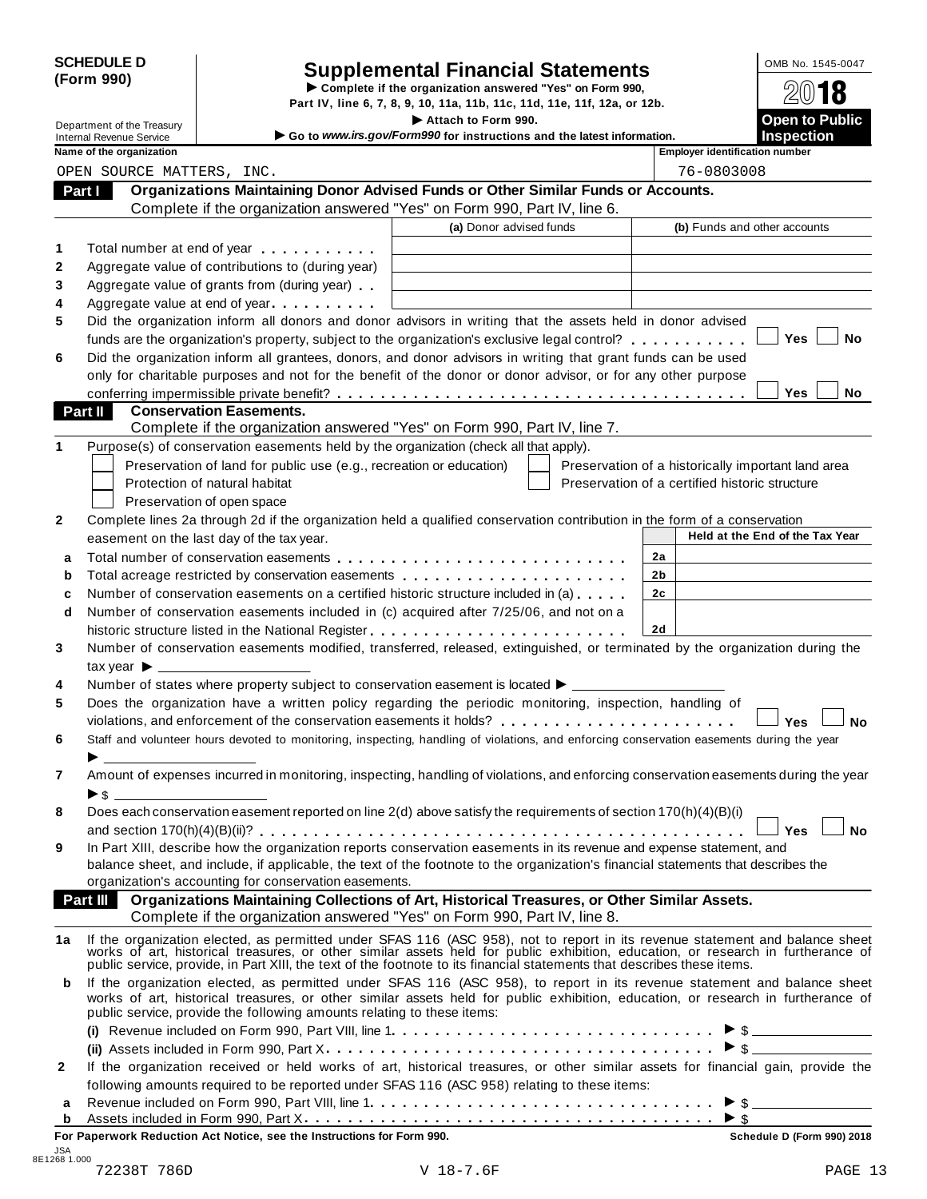| <b>SCHEDULE D</b> |  |
|-------------------|--|
| (Form 990)        |  |

# SCHEDULE D<br>
Supplemental Financial Statements<br>
Form 990)<br>
Part IV, line 6, 7, 8, 9, 10, 11a, 11b, 11c, 11d, 11e, 11f, 12a, or 12b.<br>
Part IV, line 6, 7, 8, 9, 10, 11a, 11b, 11c, 11d, 11e, 11f, 12a, or 12b.

|    |                                                             |                                                                                                                                                                                                                               | Part IV, line 6, 7, 8, 9, 10, 11a, 11b, 11c, 11d, 11e, 11f, 12a, or 12b.                                                                                                                                                       |                |            |                                                    |
|----|-------------------------------------------------------------|-------------------------------------------------------------------------------------------------------------------------------------------------------------------------------------------------------------------------------|--------------------------------------------------------------------------------------------------------------------------------------------------------------------------------------------------------------------------------|----------------|------------|----------------------------------------------------|
|    | Department of the Treasury                                  |                                                                                                                                                                                                                               | Attach to Form 990.<br>Go to www.irs.gov/Form990 for instructions and the latest information.                                                                                                                                  |                |            | <b>Open to Public</b><br><b>Inspection</b>         |
|    | <b>Internal Revenue Service</b><br>Name of the organization |                                                                                                                                                                                                                               |                                                                                                                                                                                                                                |                |            | <b>Employer identification number</b>              |
|    | OPEN SOURCE MATTERS, INC.                                   |                                                                                                                                                                                                                               |                                                                                                                                                                                                                                |                | 76-0803008 |                                                    |
|    | Part I                                                      |                                                                                                                                                                                                                               | Organizations Maintaining Donor Advised Funds or Other Similar Funds or Accounts.                                                                                                                                              |                |            |                                                    |
|    |                                                             |                                                                                                                                                                                                                               | Complete if the organization answered "Yes" on Form 990, Part IV, line 6.                                                                                                                                                      |                |            |                                                    |
|    |                                                             |                                                                                                                                                                                                                               | (a) Donor advised funds                                                                                                                                                                                                        |                |            | (b) Funds and other accounts                       |
| 1  |                                                             | Total number at end of year entitled as a set of the set of the set of the set of the set of the set of the set of the set of the set of the set of the set of the set of the set of the set of the set of the set of the set |                                                                                                                                                                                                                                |                |            |                                                    |
| 2  |                                                             | Aggregate value of contributions to (during year)                                                                                                                                                                             |                                                                                                                                                                                                                                |                |            |                                                    |
|    |                                                             | Aggregate value of grants from (during year)                                                                                                                                                                                  |                                                                                                                                                                                                                                |                |            |                                                    |
|    |                                                             | Aggregate value at end of year                                                                                                                                                                                                |                                                                                                                                                                                                                                |                |            |                                                    |
|    |                                                             |                                                                                                                                                                                                                               | Did the organization inform all donors and donor advisors in writing that the assets held in donor advised                                                                                                                     |                |            |                                                    |
|    |                                                             |                                                                                                                                                                                                                               | funds are the organization's property, subject to the organization's exclusive legal control?                                                                                                                                  |                |            | <b>Yes</b><br>No                                   |
|    |                                                             |                                                                                                                                                                                                                               | Did the organization inform all grantees, donors, and donor advisors in writing that grant funds can be used                                                                                                                   |                |            |                                                    |
|    |                                                             |                                                                                                                                                                                                                               | only for charitable purposes and not for the benefit of the donor or donor advisor, or for any other purpose                                                                                                                   |                |            |                                                    |
|    |                                                             |                                                                                                                                                                                                                               |                                                                                                                                                                                                                                |                |            | <b>Yes</b><br>No.                                  |
|    | Part II                                                     | <b>Conservation Easements.</b>                                                                                                                                                                                                |                                                                                                                                                                                                                                |                |            |                                                    |
|    |                                                             |                                                                                                                                                                                                                               | Complete if the organization answered "Yes" on Form 990, Part IV, line 7.                                                                                                                                                      |                |            |                                                    |
|    |                                                             |                                                                                                                                                                                                                               | Purpose(s) of conservation easements held by the organization (check all that apply).                                                                                                                                          |                |            |                                                    |
|    |                                                             | Preservation of land for public use (e.g., recreation or education)                                                                                                                                                           |                                                                                                                                                                                                                                |                |            | Preservation of a historically important land area |
|    |                                                             | Protection of natural habitat                                                                                                                                                                                                 |                                                                                                                                                                                                                                |                |            | Preservation of a certified historic structure     |
|    |                                                             | Preservation of open space                                                                                                                                                                                                    |                                                                                                                                                                                                                                |                |            |                                                    |
|    |                                                             |                                                                                                                                                                                                                               | Complete lines 2a through 2d if the organization held a qualified conservation contribution in the form of a conservation                                                                                                      |                |            |                                                    |
|    |                                                             | easement on the last day of the tax year.                                                                                                                                                                                     |                                                                                                                                                                                                                                |                |            | Held at the End of the Tax Year                    |
| a  |                                                             |                                                                                                                                                                                                                               |                                                                                                                                                                                                                                | 2a             |            |                                                    |
| b  |                                                             |                                                                                                                                                                                                                               | Total acreage restricted by conservation easements                                                                                                                                                                             | 2b             |            |                                                    |
| c  |                                                             |                                                                                                                                                                                                                               | Number of conservation easements on a certified historic structure included in (a)                                                                                                                                             | 2 <sub>c</sub> |            |                                                    |
| d  |                                                             |                                                                                                                                                                                                                               | Number of conservation easements included in (c) acquired after 7/25/06, and not on a                                                                                                                                          |                |            |                                                    |
|    |                                                             |                                                                                                                                                                                                                               |                                                                                                                                                                                                                                | 2d             |            |                                                    |
|    |                                                             |                                                                                                                                                                                                                               | Number of conservation easements modified, transferred, released, extinguished, or terminated by the organization during the                                                                                                   |                |            |                                                    |
|    | tax year $\blacktriangleright$ _                            |                                                                                                                                                                                                                               |                                                                                                                                                                                                                                |                |            |                                                    |
|    |                                                             |                                                                                                                                                                                                                               | Number of states where property subject to conservation easement is located ▶ __________                                                                                                                                       |                |            |                                                    |
|    |                                                             |                                                                                                                                                                                                                               | Does the organization have a written policy regarding the periodic monitoring, inspection, handling of                                                                                                                         |                |            |                                                    |
|    |                                                             |                                                                                                                                                                                                                               | violations, and enforcement of the conservation easements it holds?                                                                                                                                                            |                |            | Yes<br><b>No</b>                                   |
|    |                                                             |                                                                                                                                                                                                                               | Staff and volunteer hours devoted to monitoring, inspecting, handling of violations, and enforcing conservation easements during the year                                                                                      |                |            |                                                    |
|    |                                                             |                                                                                                                                                                                                                               |                                                                                                                                                                                                                                |                |            |                                                    |
|    |                                                             |                                                                                                                                                                                                                               | Amount of expenses incurred in monitoring, inspecting, handling of violations, and enforcing conservation easements during the year                                                                                            |                |            |                                                    |
|    |                                                             |                                                                                                                                                                                                                               |                                                                                                                                                                                                                                |                |            |                                                    |
|    |                                                             |                                                                                                                                                                                                                               | Does each conservation easement reported on line 2(d) above satisfy the requirements of section 170(h)(4)(B)(i)                                                                                                                |                |            |                                                    |
|    |                                                             |                                                                                                                                                                                                                               |                                                                                                                                                                                                                                |                |            | <b>No</b><br><b>Yes</b>                            |
|    |                                                             |                                                                                                                                                                                                                               | In Part XIII, describe how the organization reports conservation easements in its revenue and expense statement, and                                                                                                           |                |            |                                                    |
|    |                                                             |                                                                                                                                                                                                                               | balance sheet, and include, if applicable, the text of the footnote to the organization's financial statements that describes the                                                                                              |                |            |                                                    |
|    |                                                             | organization's accounting for conservation easements.                                                                                                                                                                         |                                                                                                                                                                                                                                |                |            |                                                    |
|    |                                                             |                                                                                                                                                                                                                               | Part III Organizations Maintaining Collections of Art, Historical Treasures, or Other Similar Assets.                                                                                                                          |                |            |                                                    |
|    |                                                             |                                                                                                                                                                                                                               | Complete if the organization answered "Yes" on Form 990, Part IV, line 8.                                                                                                                                                      |                |            |                                                    |
| 1a |                                                             |                                                                                                                                                                                                                               | If the organization elected, as permitted under SFAS 116 (ASC 958), not to report in its revenue statement and balance sheet works of art, historical treasures, or other similar assets held for public exhibition, education |                |            |                                                    |
|    |                                                             |                                                                                                                                                                                                                               | public service, provide, in Part XIII, the text of the footnote to its financial statements that describes these items.                                                                                                        |                |            |                                                    |
| b  |                                                             |                                                                                                                                                                                                                               | If the organization elected, as permitted under SFAS 116 (ASC 958), to report in its revenue statement and balance sheet                                                                                                       |                |            |                                                    |
|    |                                                             |                                                                                                                                                                                                                               | works of art, historical treasures, or other similar assets held for public exhibition, education, or research in furtherance of                                                                                               |                |            |                                                    |
|    |                                                             | public service, provide the following amounts relating to these items:                                                                                                                                                        |                                                                                                                                                                                                                                |                |            |                                                    |
|    |                                                             |                                                                                                                                                                                                                               |                                                                                                                                                                                                                                |                |            |                                                    |
|    |                                                             |                                                                                                                                                                                                                               |                                                                                                                                                                                                                                |                |            | $\triangleright$ \$                                |
| 2  |                                                             |                                                                                                                                                                                                                               | If the organization received or held works of art, historical treasures, or other similar assets for financial gain, provide the                                                                                               |                |            |                                                    |
|    |                                                             |                                                                                                                                                                                                                               | following amounts required to be reported under SFAS 116 (ASC 958) relating to these items:                                                                                                                                    |                |            |                                                    |

| For Paperwork Reduction Act Notice, see the Instructions for Form 990.                      | Schedule D (Form 990) 2018 |
|---------------------------------------------------------------------------------------------|----------------------------|
|                                                                                             |                            |
|                                                                                             |                            |
| following amounts required to be reported under SFAS 116 (ASC 958) relating to these items: |                            |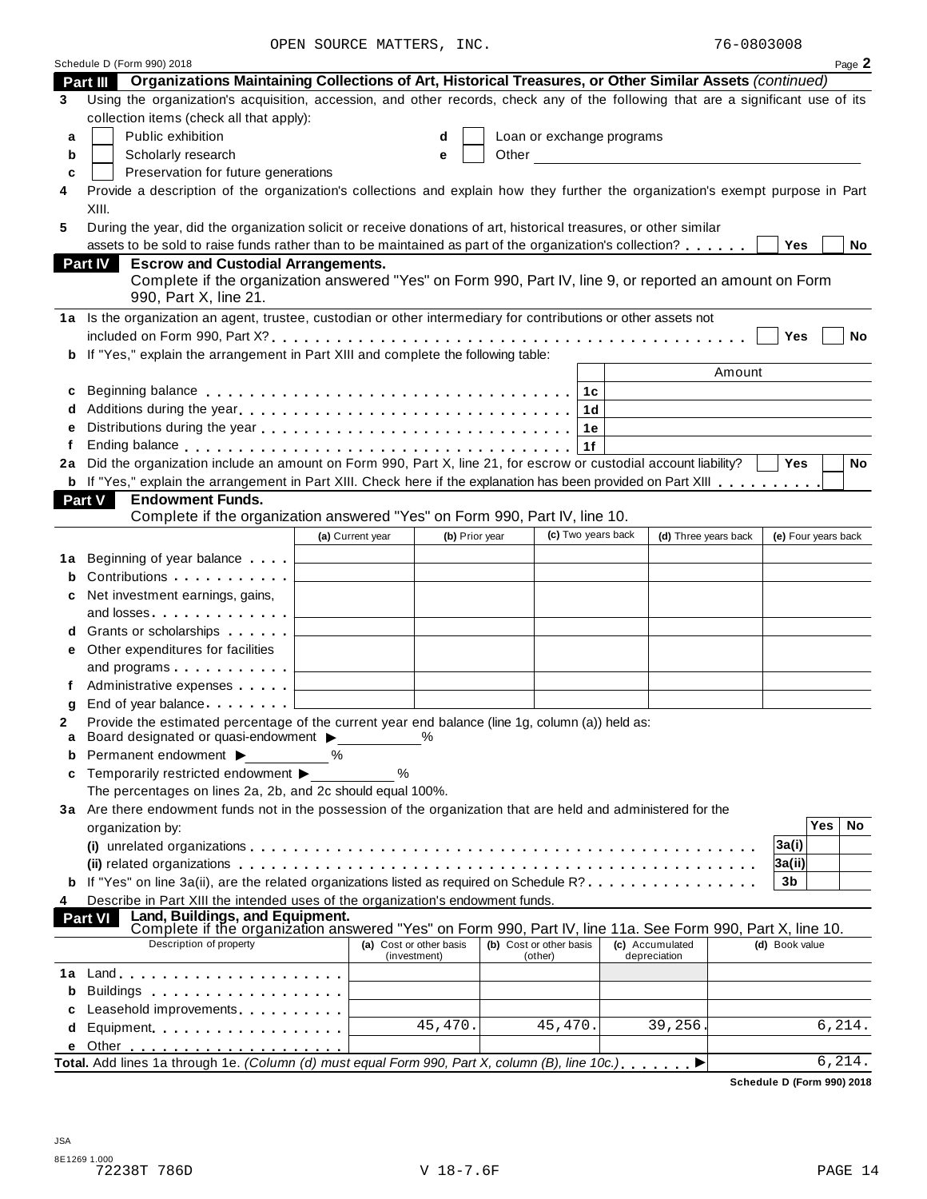OPEN SOURCE MATTERS, INC.

|        | Schedule D (Form 990) 2018                                                                                                                                                                                                     |                         |                |                         |                           |                      |                     |     | Page 2    |
|--------|--------------------------------------------------------------------------------------------------------------------------------------------------------------------------------------------------------------------------------|-------------------------|----------------|-------------------------|---------------------------|----------------------|---------------------|-----|-----------|
|        | Part III Organizations Maintaining Collections of Art, Historical Treasures, or Other Similar Assets (continued)                                                                                                               |                         |                |                         |                           |                      |                     |     |           |
| 3      | Using the organization's acquisition, accession, and other records, check any of the following that are a significant use of its                                                                                               |                         |                |                         |                           |                      |                     |     |           |
|        | collection items (check all that apply):                                                                                                                                                                                       |                         |                |                         |                           |                      |                     |     |           |
| a      | Public exhibition                                                                                                                                                                                                              |                         | d              |                         | Loan or exchange programs |                      |                     |     |           |
| b      | Scholarly research                                                                                                                                                                                                             |                         | е              |                         |                           |                      |                     |     |           |
| C      | Preservation for future generations                                                                                                                                                                                            |                         |                |                         |                           |                      |                     |     |           |
| 4      | Provide a description of the organization's collections and explain how they further the organization's exempt purpose in Part                                                                                                 |                         |                |                         |                           |                      |                     |     |           |
|        | XIII.                                                                                                                                                                                                                          |                         |                |                         |                           |                      |                     |     |           |
| 5      | During the year, did the organization solicit or receive donations of art, historical treasures, or other similar                                                                                                              |                         |                |                         |                           |                      |                     |     |           |
|        | assets to be sold to raise funds rather than to be maintained as part of the organization's collection?                                                                                                                        |                         |                |                         |                           |                      | <b>Yes</b>          |     | No        |
|        | <b>Escrow and Custodial Arrangements.</b><br>Part IV                                                                                                                                                                           |                         |                |                         |                           |                      |                     |     |           |
|        | Complete if the organization answered "Yes" on Form 990, Part IV, line 9, or reported an amount on Form                                                                                                                        |                         |                |                         |                           |                      |                     |     |           |
|        | 990, Part X, line 21.                                                                                                                                                                                                          |                         |                |                         |                           |                      |                     |     |           |
|        | 1a Is the organization an agent, trustee, custodian or other intermediary for contributions or other assets not                                                                                                                |                         |                |                         |                           |                      |                     |     |           |
|        |                                                                                                                                                                                                                                |                         |                |                         |                           |                      | Yes                 |     | No        |
|        | If "Yes," explain the arrangement in Part XIII and complete the following table:                                                                                                                                               |                         |                |                         |                           |                      |                     |     |           |
|        |                                                                                                                                                                                                                                |                         |                |                         |                           | Amount               |                     |     |           |
| c      |                                                                                                                                                                                                                                |                         |                | 1c                      |                           |                      |                     |     |           |
| d      |                                                                                                                                                                                                                                |                         |                | 1 <sub>d</sub>          |                           |                      |                     |     |           |
| e      |                                                                                                                                                                                                                                |                         |                | 1e                      |                           |                      |                     |     |           |
| f      | Ending balance enterpreteration of the contract of the contract of the contract of the contract of the contract of the contract of the contract of the contract of the contract of the contract of the contract of the contrac |                         |                | 1f                      |                           |                      |                     |     |           |
| 2a     | Did the organization include an amount on Form 990, Part X, line 21, for escrow or custodial account liability?                                                                                                                |                         |                |                         |                           |                      | Yes                 |     | <b>No</b> |
|        | b If "Yes," explain the arrangement in Part XIII. Check here if the explanation has been provided on Part XIII                                                                                                                 |                         |                |                         |                           |                      |                     |     |           |
|        | <b>Part V</b><br><b>Endowment Funds.</b><br>Complete if the organization answered "Yes" on Form 990, Part IV, line 10.                                                                                                         |                         |                |                         |                           |                      |                     |     |           |
|        |                                                                                                                                                                                                                                | (a) Current year        | (b) Prior year | (c) Two years back      |                           | (d) Three years back | (e) Four years back |     |           |
|        |                                                                                                                                                                                                                                |                         |                |                         |                           |                      |                     |     |           |
| 1a     | Beginning of year balance                                                                                                                                                                                                      |                         |                |                         |                           |                      |                     |     |           |
| b      | Contributions                                                                                                                                                                                                                  |                         |                |                         |                           |                      |                     |     |           |
|        | Net investment earnings, gains,                                                                                                                                                                                                |                         |                |                         |                           |                      |                     |     |           |
|        |                                                                                                                                                                                                                                |                         |                |                         |                           |                      |                     |     |           |
|        | Grants or scholarships <b>Container</b>                                                                                                                                                                                        |                         |                |                         |                           |                      |                     |     |           |
| е      | Other expenditures for facilities                                                                                                                                                                                              |                         |                |                         |                           |                      |                     |     |           |
|        | and programs $\ldots \ldots \ldots$                                                                                                                                                                                            |                         |                |                         |                           |                      |                     |     |           |
|        | Administrative expenses                                                                                                                                                                                                        |                         |                |                         |                           |                      |                     |     |           |
| g<br>2 | Provide the estimated percentage of the current year end balance (line 1g, column (a)) held as:                                                                                                                                |                         |                |                         |                           |                      |                     |     |           |
| a      | Board designated or quasi-endowment ▶                                                                                                                                                                                          |                         | $\%$           |                         |                           |                      |                     |     |           |
| b      | Permanent endowment >                                                                                                                                                                                                          | ℅                       |                |                         |                           |                      |                     |     |           |
| c      | Temporarily restricted endowment ▶                                                                                                                                                                                             | %                       |                |                         |                           |                      |                     |     |           |
|        | The percentages on lines 2a, 2b, and 2c should equal 100%.                                                                                                                                                                     |                         |                |                         |                           |                      |                     |     |           |
|        | 3a Are there endowment funds not in the possession of the organization that are held and administered for the                                                                                                                  |                         |                |                         |                           |                      |                     |     |           |
|        | organization by:                                                                                                                                                                                                               |                         |                |                         |                           |                      |                     | Yes | No        |
|        |                                                                                                                                                                                                                                |                         |                |                         |                           |                      | 3a(i)               |     |           |
|        |                                                                                                                                                                                                                                |                         |                |                         |                           |                      | 3a(ii)              |     |           |
|        | If "Yes" on line 3a(ii), are the related organizations listed as required on Schedule R?                                                                                                                                       |                         |                |                         |                           |                      | 3b                  |     |           |
| 4      | Describe in Part XIII the intended uses of the organization's endowment funds.                                                                                                                                                 |                         |                |                         |                           |                      |                     |     |           |
|        | Land, Buildings, and Equipment.<br><b>Part VI</b><br>Complete if the organization answered "Yes" on Form 990, Part IV, line 11a. See Form 990, Part X, line 10.                                                                |                         |                |                         |                           |                      |                     |     |           |
|        | Description of property                                                                                                                                                                                                        | (a) Cost or other basis |                | (b) Cost or other basis | (c) Accumulated           |                      | (d) Book value      |     |           |
|        |                                                                                                                                                                                                                                |                         | (investment)   | (other)                 | depreciation              |                      |                     |     |           |
|        |                                                                                                                                                                                                                                |                         |                |                         |                           |                      |                     |     |           |
| b      | Buildings                                                                                                                                                                                                                      |                         |                |                         |                           |                      |                     |     |           |
| C      | Leasehold improvements <b>Leasehold</b> improvements                                                                                                                                                                           |                         | 45,470.        | 45,470.                 |                           | 39,256.              |                     |     | 6,214.    |
| d      | Equipment                                                                                                                                                                                                                      |                         |                |                         |                           |                      |                     |     |           |
| е      | Total. Add lines 1a through 1e. (Column (d) must equal Form 990, Part X, column (B), line 10c.),                                                                                                                               |                         |                |                         |                           |                      |                     |     | 6,214.    |
|        |                                                                                                                                                                                                                                |                         |                |                         |                           |                      |                     |     |           |

**Schedule D (Form 990) 2018**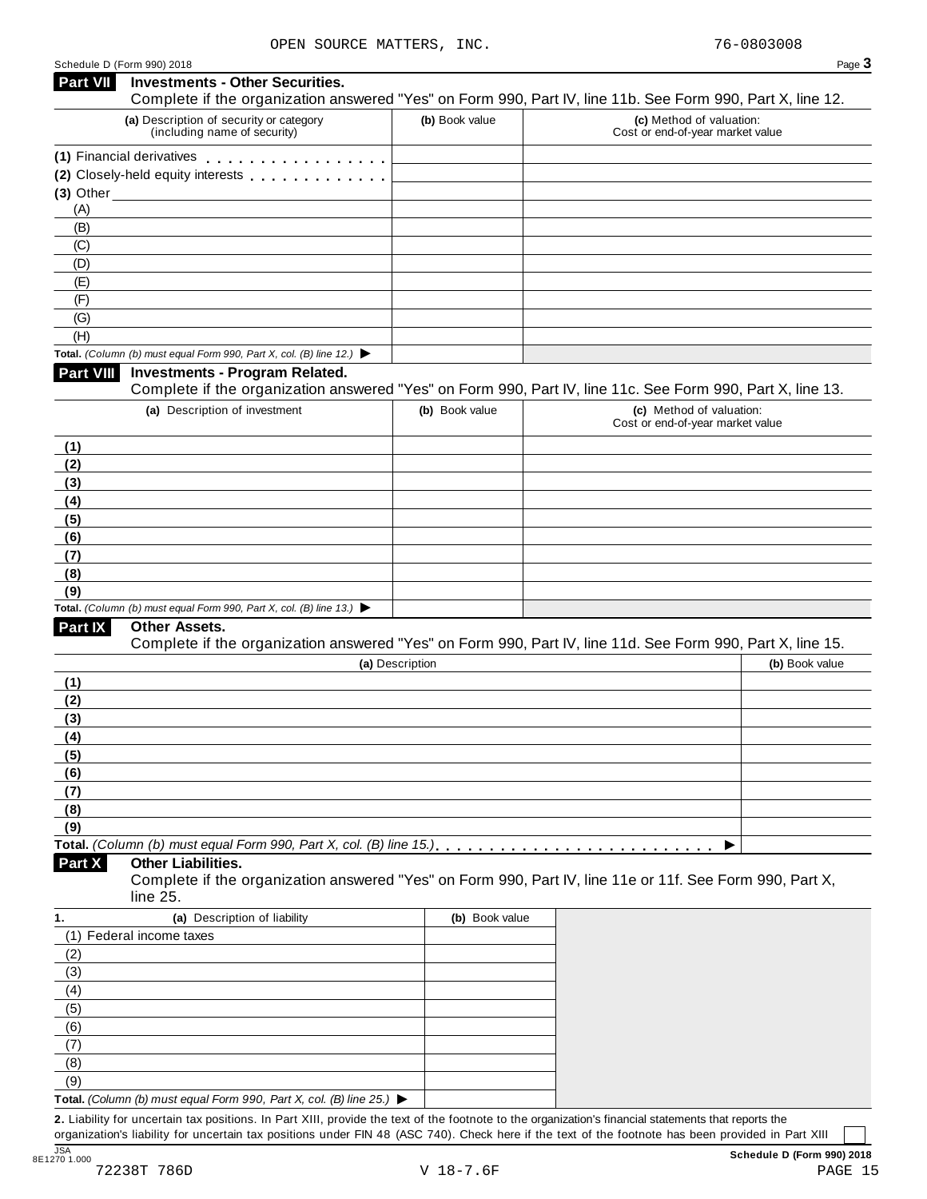|                             | <b>Investments - Other Securities.</b>                                                   |                 |                                                                                                                                        |
|-----------------------------|------------------------------------------------------------------------------------------|-----------------|----------------------------------------------------------------------------------------------------------------------------------------|
|                             | (a) Description of security or category                                                  | (b) Book value  | Complete if the organization answered "Yes" on Form 990, Part IV, line 11b. See Form 990, Part X, line 12.<br>(c) Method of valuation: |
|                             | (including name of security)                                                             |                 | Cost or end-of-year market value                                                                                                       |
|                             | (1) Financial derivatives                                                                |                 |                                                                                                                                        |
|                             | (2) Closely-held equity interests [1] [1] Closely-held equity interests                  |                 |                                                                                                                                        |
|                             | $(3)$ Other $(3)$                                                                        |                 |                                                                                                                                        |
| (A)<br>(B)                  |                                                                                          |                 |                                                                                                                                        |
| (C)                         |                                                                                          |                 |                                                                                                                                        |
| (D)                         |                                                                                          |                 |                                                                                                                                        |
| (E)                         |                                                                                          |                 |                                                                                                                                        |
| (F)                         |                                                                                          |                 |                                                                                                                                        |
| (G)                         |                                                                                          |                 |                                                                                                                                        |
| (H)                         |                                                                                          |                 |                                                                                                                                        |
|                             | Total. (Column (b) must equal Form 990, Part X, col. (B) line 12.) $\blacktriangleright$ |                 |                                                                                                                                        |
| <b>Part VIII</b>            | <b>Investments - Program Related.</b>                                                    |                 | Complete if the organization answered "Yes" on Form 990, Part IV, line 11c. See Form 990, Part X, line 13.                             |
|                             | (a) Description of investment                                                            | (b) Book value  | (c) Method of valuation:                                                                                                               |
|                             |                                                                                          |                 | Cost or end-of-year market value                                                                                                       |
| (1)                         |                                                                                          |                 |                                                                                                                                        |
| (2)                         |                                                                                          |                 |                                                                                                                                        |
| (3)                         |                                                                                          |                 |                                                                                                                                        |
| (4)                         |                                                                                          |                 |                                                                                                                                        |
| (5)                         |                                                                                          |                 |                                                                                                                                        |
| (6)                         |                                                                                          |                 |                                                                                                                                        |
| (7)                         |                                                                                          |                 |                                                                                                                                        |
| (8)                         |                                                                                          |                 |                                                                                                                                        |
| (9)                         | Total. (Column (b) must equal Form 990, Part X, col. (B) line 13.) $\blacktriangleright$ |                 |                                                                                                                                        |
|                             | Other Assets.                                                                            |                 |                                                                                                                                        |
|                             |                                                                                          |                 |                                                                                                                                        |
|                             |                                                                                          |                 |                                                                                                                                        |
| Part IX                     |                                                                                          | (a) Description | Complete if the organization answered "Yes" on Form 990, Part IV, line 11d. See Form 990, Part X, line 15.<br>(b) Book value           |
|                             |                                                                                          |                 |                                                                                                                                        |
| (1)<br>(2)                  |                                                                                          |                 |                                                                                                                                        |
|                             |                                                                                          |                 |                                                                                                                                        |
|                             |                                                                                          |                 |                                                                                                                                        |
|                             |                                                                                          |                 |                                                                                                                                        |
| (3)<br>(4)<br>(5)<br>(6)    |                                                                                          |                 |                                                                                                                                        |
|                             |                                                                                          |                 |                                                                                                                                        |
|                             |                                                                                          |                 |                                                                                                                                        |
|                             |                                                                                          |                 |                                                                                                                                        |
| (7)<br>(8)<br>(9)<br>Part X | <b>Other Liabilities.</b>                                                                |                 | ▶                                                                                                                                      |
|                             | line 25.                                                                                 |                 | Complete if the organization answered "Yes" on Form 990, Part IV, line 11e or 11f. See Form 990, Part X,                               |
|                             | (a) Description of liability                                                             | (b) Book value  |                                                                                                                                        |
|                             | (1) Federal income taxes                                                                 |                 |                                                                                                                                        |
|                             |                                                                                          |                 |                                                                                                                                        |
| (2)                         |                                                                                          |                 |                                                                                                                                        |
|                             |                                                                                          |                 |                                                                                                                                        |
| (3)<br>(4)<br>(5)           |                                                                                          |                 |                                                                                                                                        |
| (6)                         |                                                                                          |                 |                                                                                                                                        |
| (7)                         |                                                                                          |                 |                                                                                                                                        |
| 1.<br>(8)<br>(9)            |                                                                                          |                 |                                                                                                                                        |

organization's liability for uncertain tax positions under FIN 48 (ASC 740). Check here ifthe text of the footnote has been provided in Part XIII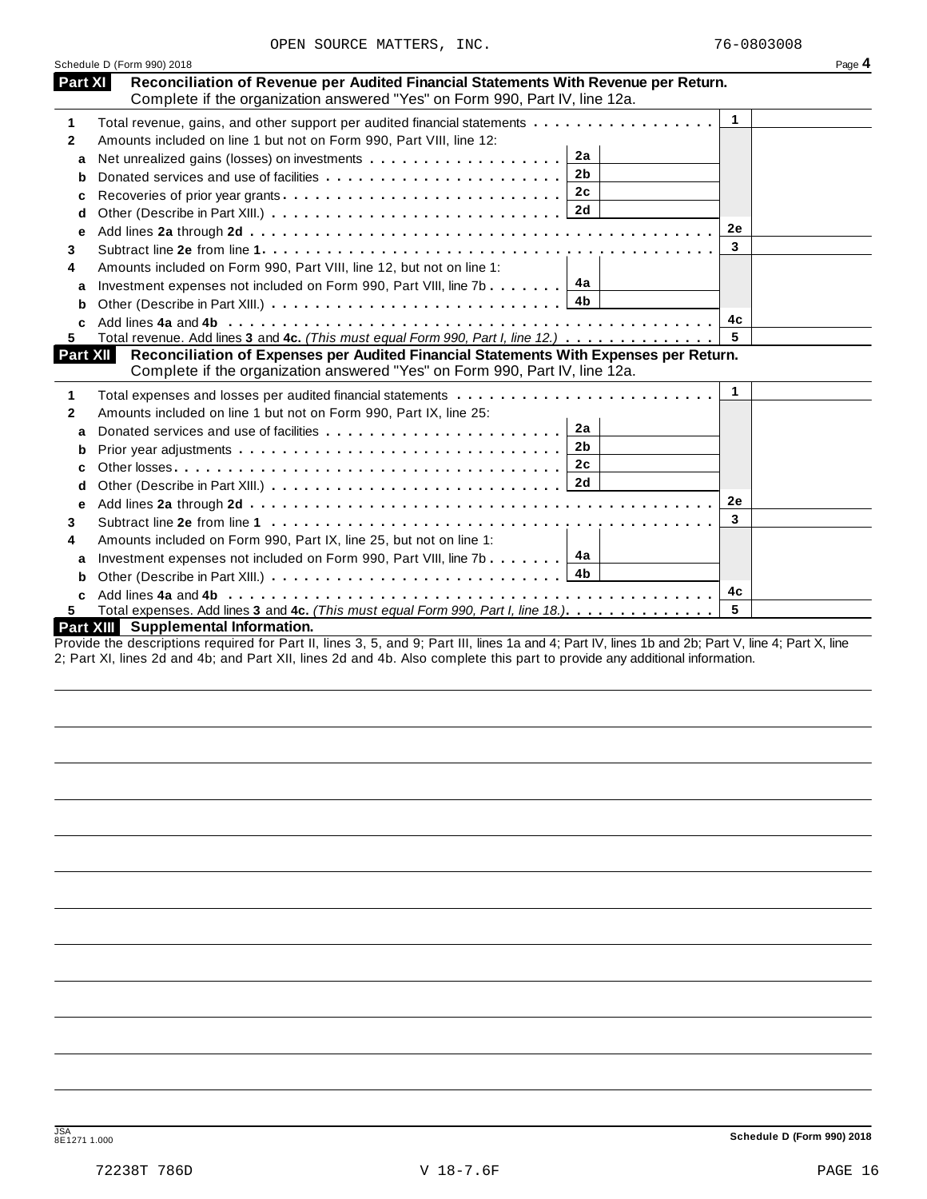|                 | Schedule D (Form 990) 2018                                                                                                                                           |              | Page 4 |
|-----------------|----------------------------------------------------------------------------------------------------------------------------------------------------------------------|--------------|--------|
| Part XI         | Reconciliation of Revenue per Audited Financial Statements With Revenue per Return.<br>Complete if the organization answered "Yes" on Form 990, Part IV, line 12a.   |              |        |
| 1               | Total revenue, gains, and other support per audited financial statements                                                                                             | $\mathbf{1}$ |        |
| 2               | Amounts included on line 1 but not on Form 990, Part VIII, line 12:                                                                                                  |              |        |
| a               | 2a                                                                                                                                                                   |              |        |
| b               | 2 <sub>b</sub>                                                                                                                                                       |              |        |
| c               | 2c                                                                                                                                                                   |              |        |
| d               |                                                                                                                                                                      |              |        |
| е               |                                                                                                                                                                      | 2e           |        |
| 3.              |                                                                                                                                                                      | 3            |        |
| 4               | Amounts included on Form 990, Part VIII, line 12, but not on line 1:                                                                                                 |              |        |
| a               | Investment expenses not included on Form 990, Part VIII, line 7b $\boxed{4a}$                                                                                        |              |        |
| b               |                                                                                                                                                                      |              |        |
|                 |                                                                                                                                                                      | 4с           |        |
| 5.              | Total revenue. Add lines 3 and 4c. (This must equal Form 990, Part I, line 12.)                                                                                      |              |        |
| <b>Part XII</b> | Reconciliation of Expenses per Audited Financial Statements With Expenses per Return.<br>Complete if the organization answered "Yes" on Form 990, Part IV, line 12a. |              |        |
| 1               |                                                                                                                                                                      | 1            |        |
| 2               | Amounts included on line 1 but not on Form 990, Part IX, line 25:                                                                                                    |              |        |
| a               | 2a                                                                                                                                                                   |              |        |
| b               | 2b                                                                                                                                                                   |              |        |
| с               | 2c                                                                                                                                                                   |              |        |
| d               |                                                                                                                                                                      |              |        |
| е               |                                                                                                                                                                      | <b>2e</b>    |        |
| 3               |                                                                                                                                                                      | 3            |        |
| 4               | Amounts included on Form 990, Part IX, line 25, but not on line 1:                                                                                                   |              |        |
| a               | 4a<br>Investment expenses not included on Form 990, Part VIII, line 7b                                                                                               |              |        |
| b               | 4b                                                                                                                                                                   |              |        |
|                 |                                                                                                                                                                      | 4c           |        |
| 5.              | Total expenses. Add lines 3 and 4c. (This must equal Form 990, Part I, line 18.)                                                                                     | 5            |        |
|                 | <b>Part XIII</b> Supplemental Information.                                                                                                                           |              |        |
|                 | Drougle the descriptions required for Dart II, lines 2, E, and Q; Dart III, lines 10 and 4; Dart IV, lines 1b and 2b; Dart V, line, 4; Dart V, line                  |              |        |

Provide the descriptions required for Part II, lines 3, 5, and 9; Part III, lines 1a and 4; Part IV, lines 1b and 2b; Part V, line 4; Part X, line 2; Part XI, lines 2d and 4b; and Part XII, lines 2d and 4b. Also complete this part to provide any additional information.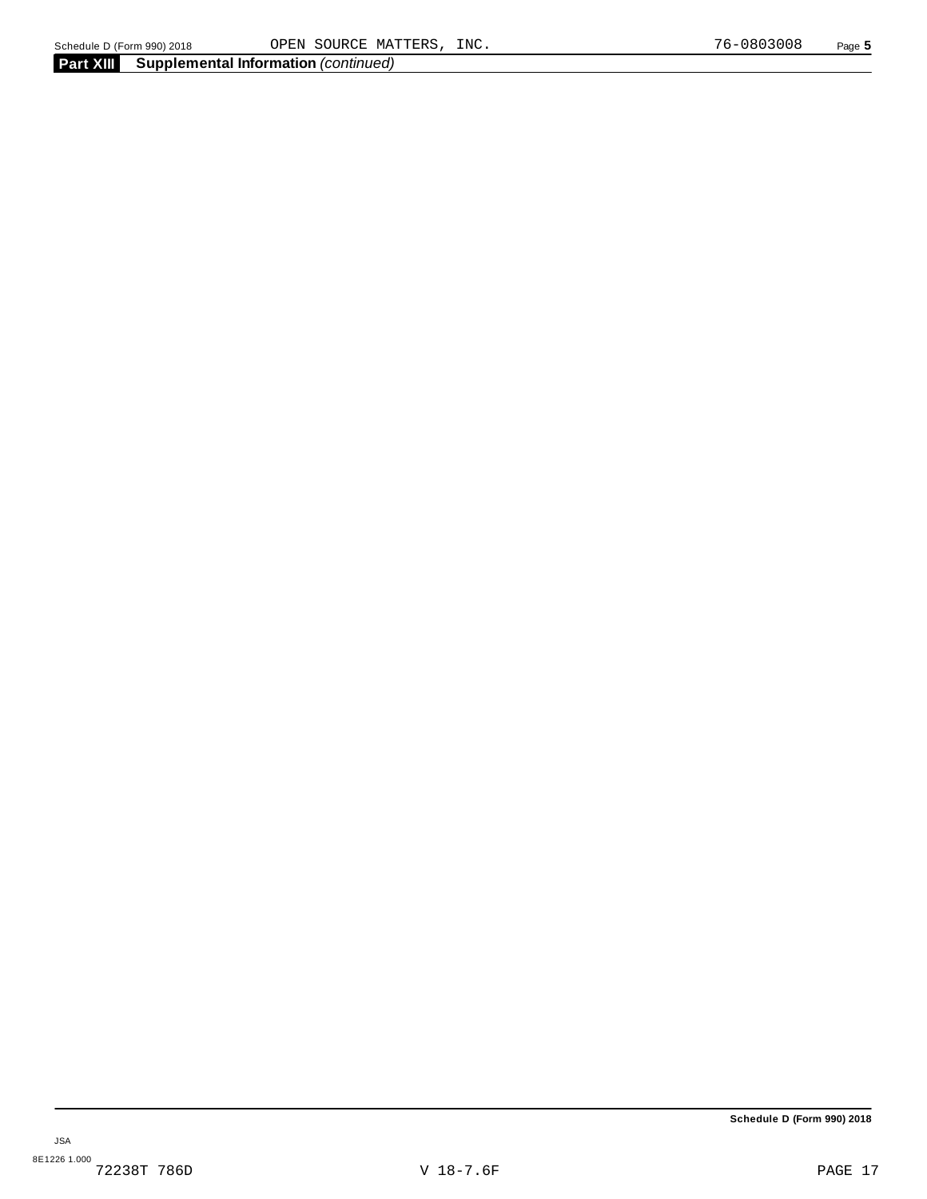**Schedule D (Form 990) 2018**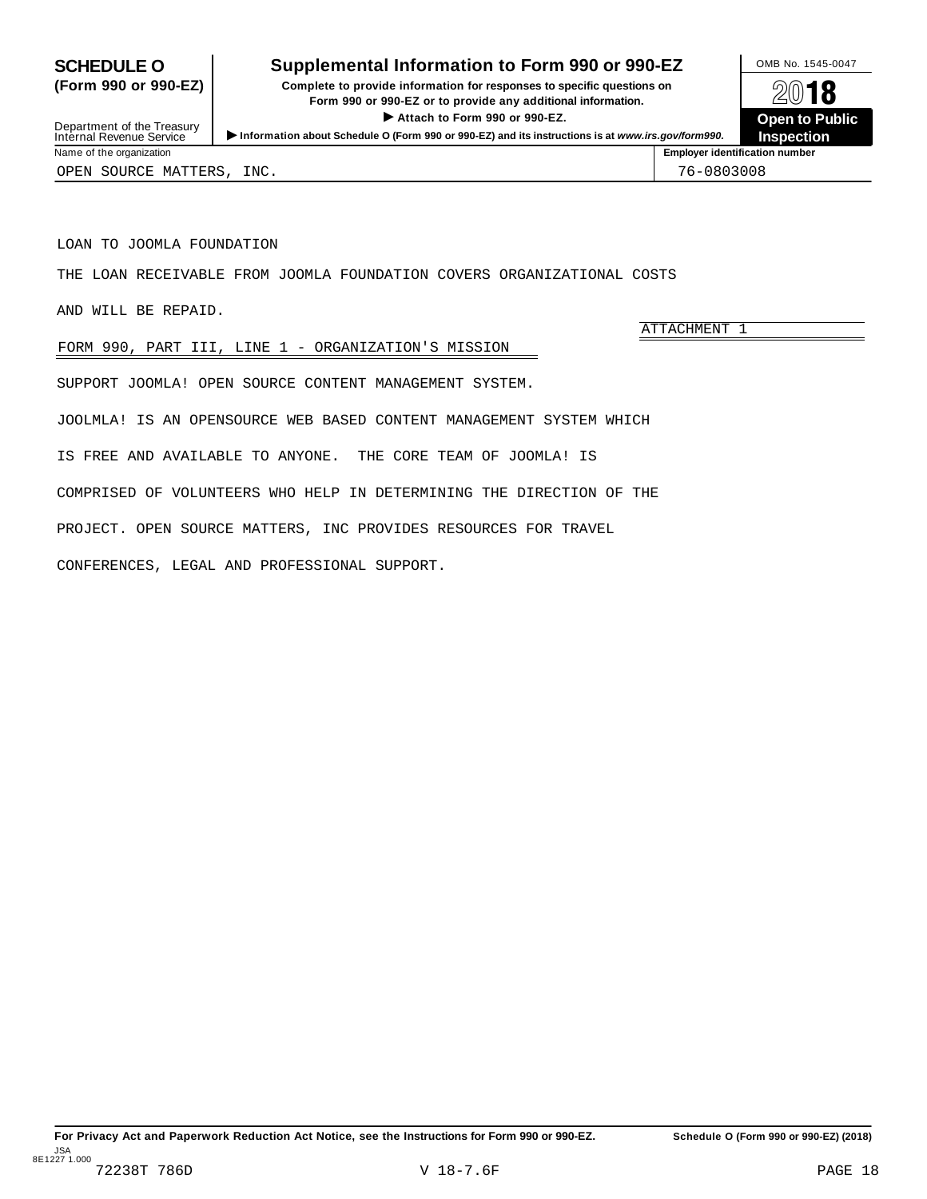## <span id="page-17-0"></span>**SCHEDULE O** Supplemental Information to Form 990 or 990-EZ DAMB No. 1545-0047

**(Form 990 or 990-EZ) Complete to provide information for responses to specific questions on Form** 990 or 990-EZ or to provide any additional information. I **Attach to Form <sup>990</sup> or 990-EZ. Open to Public**



Department of the Treasury<br>Internal Revenue Service Information about Schedule O (Form 990 or 990-EZ) and its instructions is at www.irs.gov/form990.<br>Name of the organization<br>Name of the organization number

ATTACHMENT 1

OPEN SOURCE MATTERS, INC. THE SOURCE OPEN SOURCE MATTERS, INC.

LOAN TO JOOMLA FOUNDATION

THE LOAN RECEIVABLE FROM JOOMLA FOUNDATION COVERS ORGANIZATIONAL COSTS

AND WILL BE REPAID.

FORM 990, PART III, LINE 1 - ORGANIZATION'S MISSION

SUPPORT JOOMLA! OPEN SOURCE CONTENT MANAGEMENT SYSTEM.

JOOLMLA! IS AN OPENSOURCE WEB BASED CONTENT MANAGEMENT SYSTEM WHICH

IS FREE AND AVAILABLE TO ANYONE. THE CORE TEAM OF JOOMLA! IS

COMPRISED OF VOLUNTEERS WHO HELP IN DETERMINING THE DIRECTION OF THE

PROJECT. OPEN SOURCE MATTERS, INC PROVIDES RESOURCES FOR TRAVEL

CONFERENCES, LEGAL AND PROFESSIONAL SUPPORT.